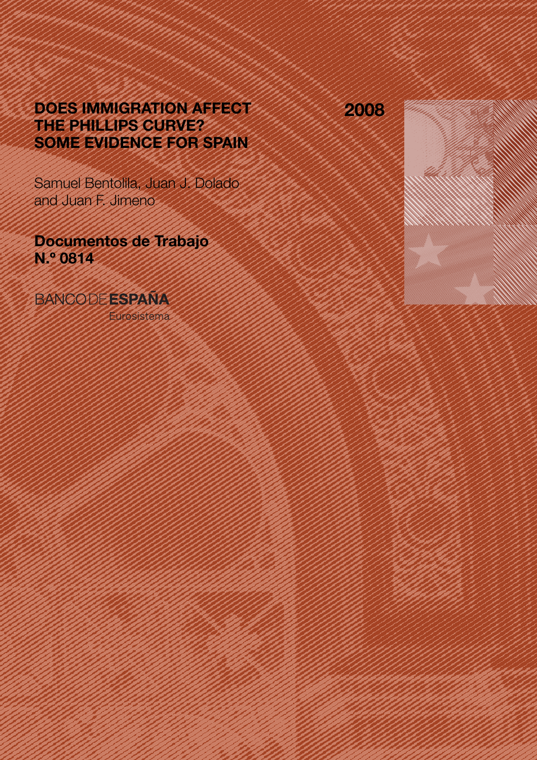# DOES IMMIGRATION AFFECT THE PHILLIPS CURVE? SOME EVIDENCE FOR SPAIN

Samuel Bentolila, Juan J. Dolado and Juan F. Jimeno

Documentos de Trabajo N.º 0814

# **BANCODE ESPAÑA**

Eurosistema

2008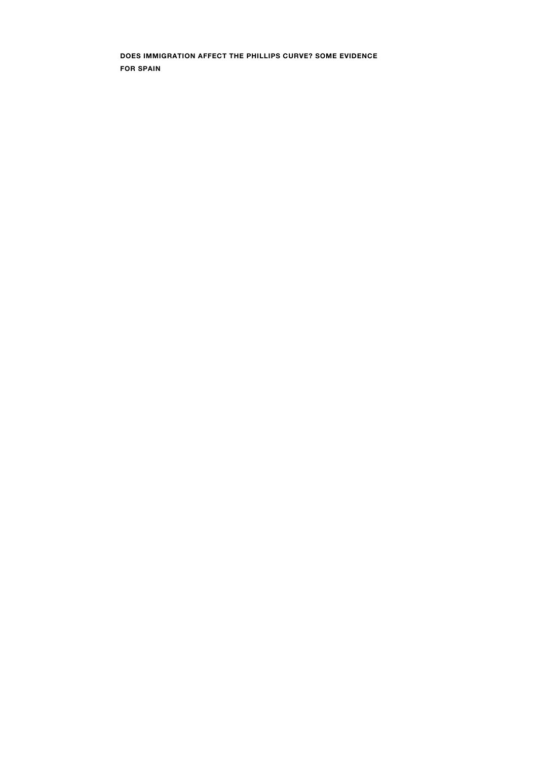DOES IMMIGRATION AFFECT THE PHILLIPS CURVE? SOME EVIDENCE FOR SPAIN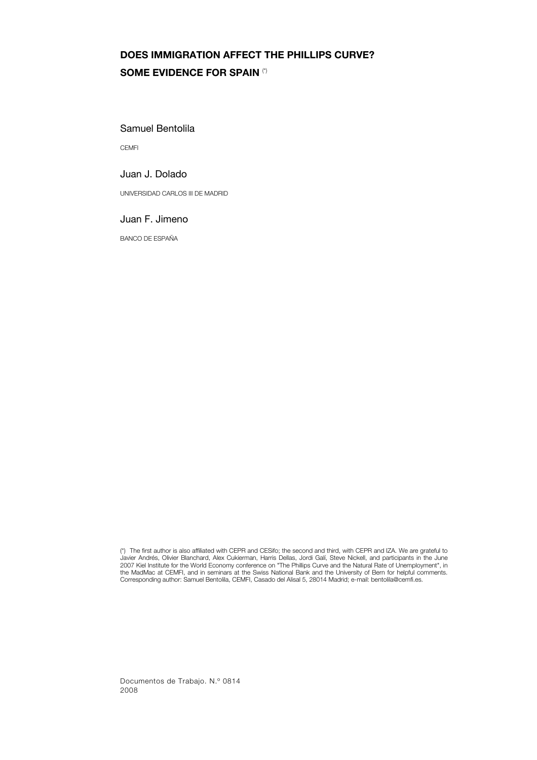# DOES IMMIGRATION AFFECT THE PHILLIPS CURVE? SOME EVIDENCE FOR SPAIN (\*)

#### Samuel Bentolila

**CEMFI** 

## Juan J. Dolado

UNIVERSIDAD CARLOS III DE MADRID

#### Juan F. Jimeno

BANCO DE ESPAÑA

Documentos de Trabajo. N.º 0814 2008

<sup>(\*)</sup> The first author is also affiliated with CEPR and CESifo; the second and third, with CEPR and IZA. We are grateful to Javier Andrés, Olivier Blanchard, Alex Cukierman, Harris Dellas, Jordi Galí, Steve Nickell, and participants in the June<br>2007 Kiel Institute for the World Economy conference on "The Phillips Curve and the Natural Rate of U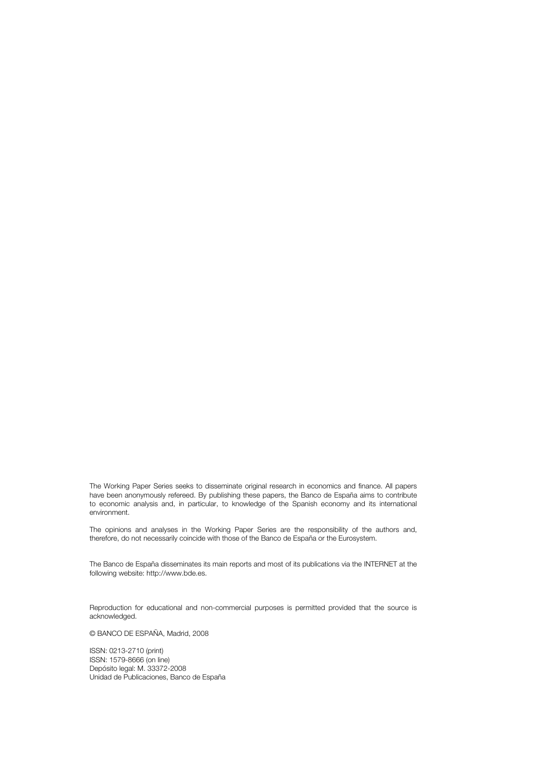The Working Paper Series seeks to disseminate original research in economics and finance. All papers have been anonymously refereed. By publishing these papers, the Banco de España aims to contribute to economic analysis and, in particular, to knowledge of the Spanish economy and its international environment.

The opinions and analyses in the Working Paper Series are the responsibility of the authors and, therefore, do not necessarily coincide with those of the Banco de España or the Eurosystem.

The Banco de España disseminates its main reports and most of its publications via the INTERNET at the following website: http://www.bde.es.

Reproduction for educational and non-commercial purposes is permitted provided that the source is acknowledged.

© BANCO DE ESPAÑA, Madrid, 2008

ISSN: 0213-2710 (print) ISSN: 1579-8666 (on line) Depósito legal: M. 33372-2008 Unidad de Publicaciones, Banco de España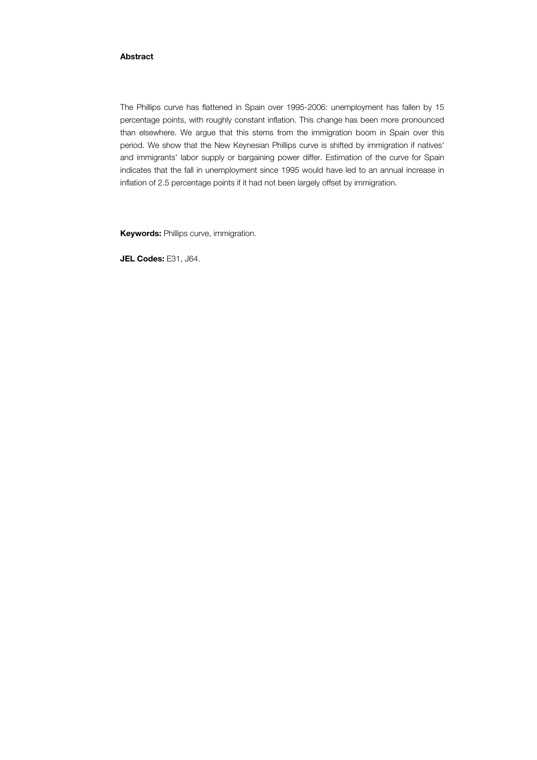#### Abstract

The Phillips curve has flattened in Spain over 1995-2006: unemployment has fallen by 15 percentage points, with roughly constant inflation. This change has been more pronounced than elsewhere. We argue that this stems from the immigration boom in Spain over this period. We show that the New Keynesian Phillips curve is shifted by immigration if natives' and immigrants' labor supply or bargaining power differ. Estimation of the curve for Spain indicates that the fall in unemployment since 1995 would have led to an annual increase in inflation of 2.5 percentage points if it had not been largely offset by immigration.

**Keywords: Phillips curve, immigration.** 

JEL Codes: E31, J64.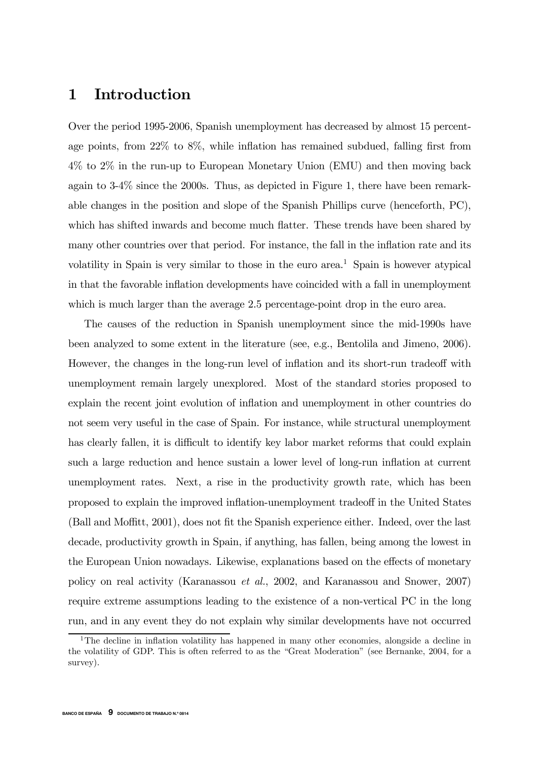# 1 Introduction

Over the period 1995-2006, Spanish unemployment has decreased by almost 15 percentage points, from 22% to 8%, while inflation has remained subdued, falling first from 4% to 2% in the run-up to European Monetary Union (EMU) and then moving back again to 3-4% since the 2000s. Thus, as depicted in Figure 1, there have been remarkable changes in the position and slope of the Spanish Phillips curve (henceforth, PC), which has shifted inwards and become much flatter. These trends have been shared by many other countries over that period. For instance, the fall in the inflation rate and its volatility in Spain is very similar to those in the euro area.<sup>1</sup> Spain is however atypical in that the favorable inflation developments have coincided with a fall in unemployment which is much larger than the average 2.5 percentage-point drop in the euro area.

The causes of the reduction in Spanish unemployment since the mid-1990s have been analyzed to some extent in the literature (see, e.g., Bentolila and Jimeno, 2006). However, the changes in the long-run level of inflation and its short-run tradeoff with unemployment remain largely unexplored. Most of the standard stories proposed to explain the recent joint evolution of inflation and unemployment in other countries do not seem very useful in the case of Spain. For instance, while structural unemployment has clearly fallen, it is difficult to identify key labor market reforms that could explain such a large reduction and hence sustain a lower level of long-run inflation at current unemployment rates. Next, a rise in the productivity growth rate, which has been proposed to explain the improved inflation-unemployment tradeoff in the United States (Ball and Moffitt, 2001), does not fit the Spanish experience either. Indeed, over the last decade, productivity growth in Spain, if anything, has fallen, being among the lowest in the European Union nowadays. Likewise, explanations based on the effects of monetary policy on real activity (Karanassou et al., 2002, and Karanassou and Snower, 2007) require extreme assumptions leading to the existence of a non-vertical PC in the long run, and in any event they do not explain why similar developments have not occurred

<sup>&</sup>lt;sup>1</sup>The decline in inflation volatility has happened in many other economies, alongside a decline in the volatility of GDP. This is often referred to as the "Great Moderation" (see Bernanke, 2004, for a survey).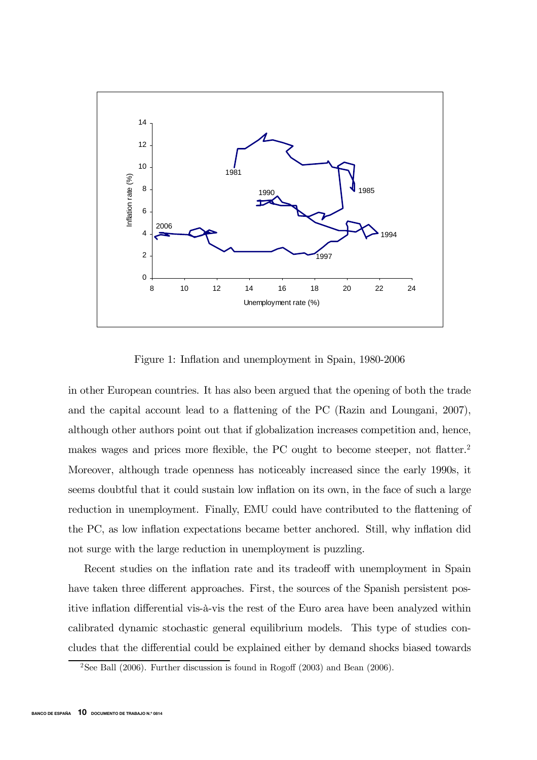

Figure 1: Inflation and unemployment in Spain, 1980-2006

in other European countries. It has also been argued that the opening of both the trade and the capital account lead to a flattening of the PC (Razin and Loungani, 2007), although other authors point out that if globalization increases competition and, hence, makes wages and prices more flexible, the PC ought to become steeper, not flatter.<sup>2</sup> Moreover, although trade openness has noticeably increased since the early 1990s, it seems doubtful that it could sustain low inflation on its own, in the face of such a large reduction in unemployment. Finally, EMU could have contributed to the flattening of the PC, as low inflation expectations became better anchored. Still, why inflation did not surge with the large reduction in unemployment is puzzling.

Recent studies on the inflation rate and its tradeoff with unemployment in Spain have taken three different approaches. First, the sources of the Spanish persistent positive inflation differential vis-à-vis the rest of the Euro area have been analyzed within calibrated dynamic stochastic general equilibrium models. This type of studies concludes that the differential could be explained either by demand shocks biased towards

<sup>&</sup>lt;sup>2</sup>See Ball (2006). Further discussion is found in Rogoff (2003) and Bean (2006).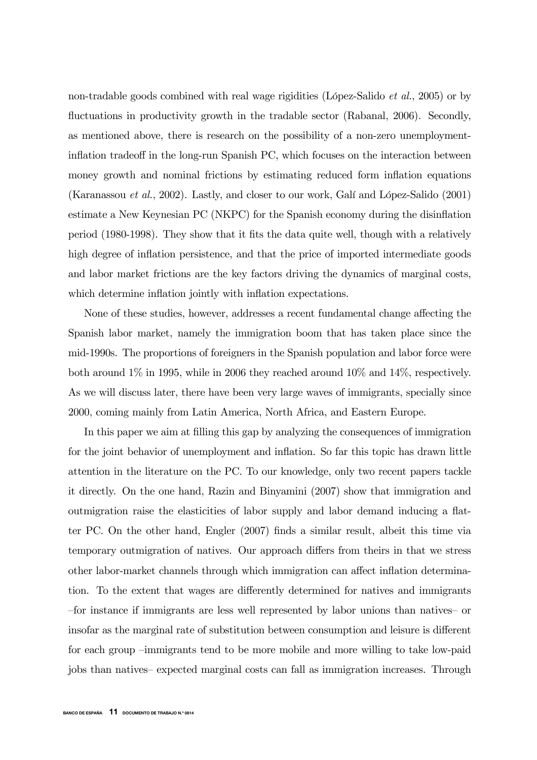non-tradable goods combined with real wage rigidities (López-Salido et al., 2005) or by fluctuations in productivity growth in the tradable sector (Rabanal, 2006). Secondly, as mentioned above, there is research on the possibility of a non-zero unemploymentinflation tradeoff in the long-run Spanish PC, which focuses on the interaction between money growth and nominal frictions by estimating reduced form inflation equations (Karanassou et al., 2002). Lastly, and closer to our work, Galí and López-Salido (2001) estimate a New Keynesian PC (NKPC) for the Spanish economy during the disinflation period (1980-1998). They show that it fits the data quite well, though with a relatively high degree of inflation persistence, and that the price of imported intermediate goods and labor market frictions are the key factors driving the dynamics of marginal costs, which determine inflation jointly with inflation expectations.

None of these studies, however, addresses a recent fundamental change affecting the Spanish labor market, namely the immigration boom that has taken place since the mid-1990s. The proportions of foreigners in the Spanish population and labor force were both around 1% in 1995, while in 2006 they reached around 10% and 14%, respectively. As we will discuss later, there have been very large waves of immigrants, specially since 2000, coming mainly from Latin America, North Africa, and Eastern Europe.

In this paper we aim at filling this gap by analyzing the consequences of immigration for the joint behavior of unemployment and inflation. So far this topic has drawn little attention in the literature on the PC. To our knowledge, only two recent papers tackle it directly. On the one hand, Razin and Binyamini (2007) show that immigration and outmigration raise the elasticities of labor supply and labor demand inducing a flatter PC. On the other hand, Engler (2007) finds a similar result, albeit this time via temporary outmigration of natives. Our approach differs from theirs in that we stress other labor-market channels through which immigration can affect inflation determination. To the extent that wages are differently determined for natives and immigrants —for instance if immigrants are less well represented by labor unions than natives— or insofar as the marginal rate of substitution between consumption and leisure is different for each group —immigrants tend to be more mobile and more willing to take low-paid jobs than natives— expected marginal costs can fall as immigration increases. Through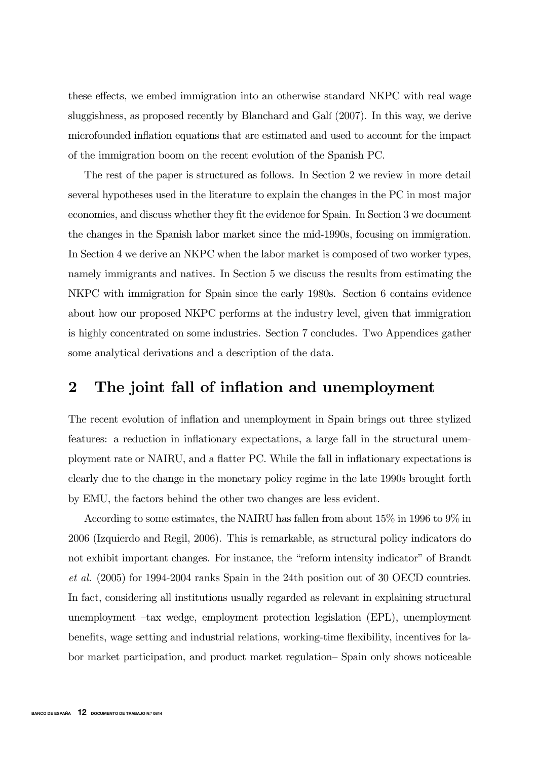these effects, we embed immigration into an otherwise standard NKPC with real wage sluggishness, as proposed recently by Blanchard and Galí (2007). In this way, we derive microfounded inflation equations that are estimated and used to account for the impact of the immigration boom on the recent evolution of the Spanish PC.

The rest of the paper is structured as follows. In Section 2 we review in more detail several hypotheses used in the literature to explain the changes in the PC in most major economies, and discuss whether they fit the evidence for Spain. In Section 3 we document the changes in the Spanish labor market since the mid-1990s, focusing on immigration. In Section 4 we derive an NKPC when the labor market is composed of two worker types, namely immigrants and natives. In Section 5 we discuss the results from estimating the NKPC with immigration for Spain since the early 1980s. Section 6 contains evidence about how our proposed NKPC performs at the industry level, given that immigration is highly concentrated on some industries. Section 7 concludes. Two Appendices gather some analytical derivations and a description of the data.

# 2 The joint fall of inflation and unemployment

The recent evolution of inflation and unemployment in Spain brings out three stylized features: a reduction in inflationary expectations, a large fall in the structural unemployment rate or NAIRU, and a flatter PC. While the fall in inflationary expectations is clearly due to the change in the monetary policy regime in the late 1990s brought forth by EMU, the factors behind the other two changes are less evident.

According to some estimates, the NAIRU has fallen from about 15% in 1996 to 9% in 2006 (Izquierdo and Regil, 2006). This is remarkable, as structural policy indicators do not exhibit important changes. For instance, the "reform intensity indicator" of Brandt et al. (2005) for 1994-2004 ranks Spain in the 24th position out of 30 OECD countries. In fact, considering all institutions usually regarded as relevant in explaining structural unemployment —tax wedge, employment protection legislation (EPL), unemployment benefits, wage setting and industrial relations, working-time flexibility, incentives for labor market participation, and product market regulation— Spain only shows noticeable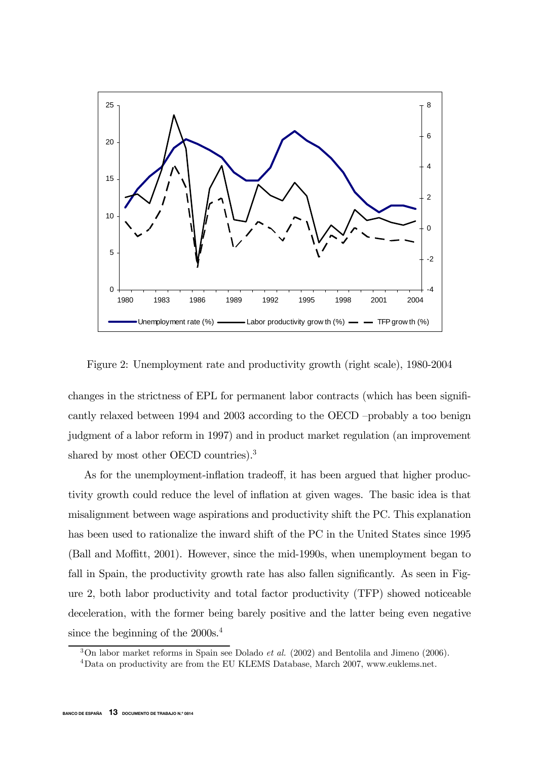

Figure 2: Unemployment rate and productivity growth (right scale), 1980-2004

changes in the strictness of EPL for permanent labor contracts (which has been significantly relaxed between 1994 and 2003 according to the OECD —probably a too benign judgment of a labor reform in 1997) and in product market regulation (an improvement shared by most other OECD countries).<sup>3</sup>

As for the unemployment-inflation tradeoff, it has been argued that higher productivity growth could reduce the level of inflation at given wages. The basic idea is that misalignment between wage aspirations and productivity shift the PC. This explanation has been used to rationalize the inward shift of the PC in the United States since 1995 (Ball and Moffitt, 2001). However, since the mid-1990s, when unemployment began to fall in Spain, the productivity growth rate has also fallen significantly. As seen in Figure 2, both labor productivity and total factor productivity (TFP) showed noticeable deceleration, with the former being barely positive and the latter being even negative since the beginning of the 2000s.<sup>4</sup>

 $3$ On labor market reforms in Spain see Dolado *et al.* (2002) and Bentolila and Jimeno (2006).

<sup>4</sup>Data on productivity are from the EU KLEMS Database, March 2007, www.euklems.net.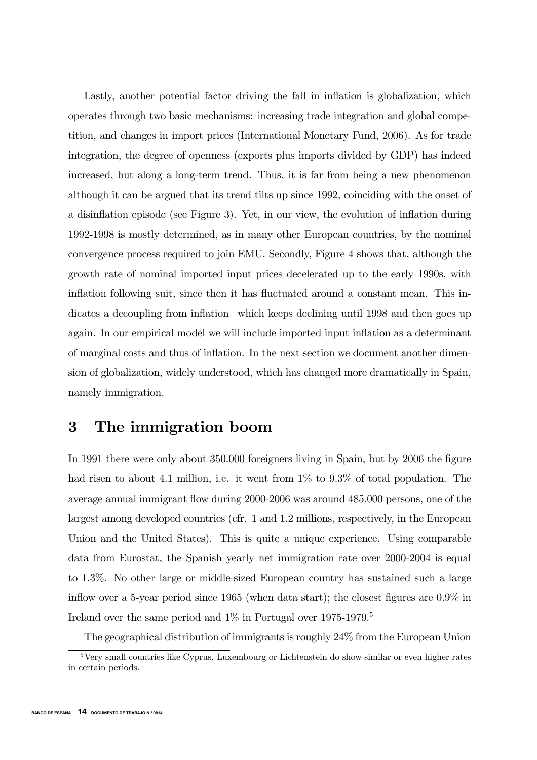Lastly, another potential factor driving the fall in inflation is globalization, which operates through two basic mechanisms: increasing trade integration and global competition, and changes in import prices (International Monetary Fund, 2006). As for trade integration, the degree of openness (exports plus imports divided by GDP) has indeed increased, but along a long-term trend. Thus, it is far from being a new phenomenon although it can be argued that its trend tilts up since 1992, coinciding with the onset of a disinflation episode (see Figure 3). Yet, in our view, the evolution of inflation during 1992-1998 is mostly determined, as in many other European countries, by the nominal convergence process required to join EMU. Secondly, Figure 4 shows that, although the growth rate of nominal imported input prices decelerated up to the early 1990s, with inflation following suit, since then it has fluctuated around a constant mean. This indicates a decoupling from inflation —which keeps declining until 1998 and then goes up again. In our empirical model we will include imported input inflation as a determinant of marginal costs and thus of inflation. In the next section we document another dimension of globalization, widely understood, which has changed more dramatically in Spain, namely immigration.

# 3 The immigration boom

In 1991 there were only about 350.000 foreigners living in Spain, but by 2006 the figure had risen to about 4.1 million, i.e. it went from  $1\%$  to  $9.3\%$  of total population. The average annual immigrant flow during 2000-2006 was around 485.000 persons, one of the largest among developed countries (cfr. 1 and 1.2 millions, respectively, in the European Union and the United States). This is quite a unique experience. Using comparable data from Eurostat, the Spanish yearly net immigration rate over 2000-2004 is equal to 1.3%. No other large or middle-sized European country has sustained such a large inflow over a 5-year period since 1965 (when data start); the closest figures are 0.9% in Ireland over the same period and  $1\%$  in Portugal over 1975-1979.<sup>5</sup>

The geographical distribution of immigrants is roughly 24% from the European Union

<sup>&</sup>lt;sup>5</sup>Very small countries like Cyprus, Luxembourg or Lichtenstein do show similar or even higher rates in certain periods.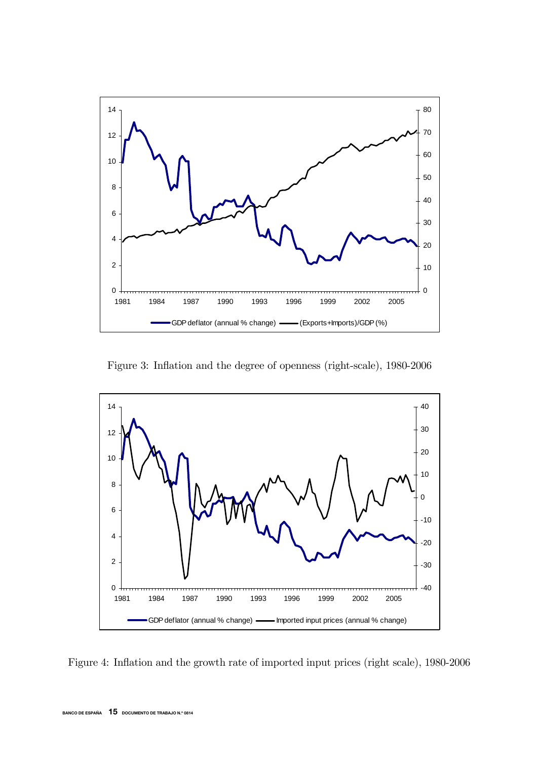

Figure 3: Inflation and the degree of openness (right-scale), 1980-2006



Figure 4: Inflation and the growth rate of imported input prices (right scale), 1980-2006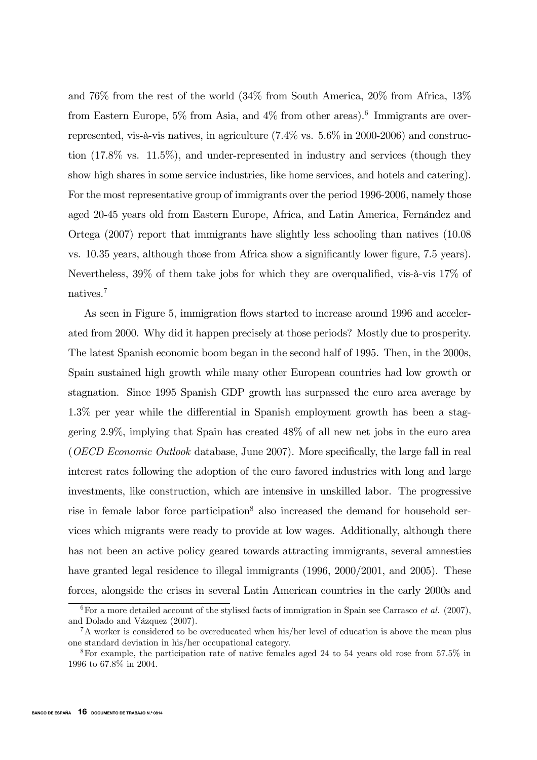and 76% from the rest of the world (34% from South America, 20% from Africa, 13% from Eastern Europe,  $5\%$  from Asia, and  $4\%$  from other areas).<sup>6</sup> Immigrants are overrepresented, vis-à-vis natives, in agriculture (7.4% vs. 5.6% in 2000-2006) and construction (17.8% vs. 11.5%), and under-represented in industry and services (though they show high shares in some service industries, like home services, and hotels and catering). For the most representative group of immigrants over the period 1996-2006, namely those aged 20-45 years old from Eastern Europe, Africa, and Latin America, Fernández and Ortega (2007) report that immigrants have slightly less schooling than natives (10.08 vs. 10.35 years, although those from Africa show a significantly lower figure, 7.5 years). Nevertheless, 39% of them take jobs for which they are overqualified, vis-à-vis 17% of natives.7

As seen in Figure 5, immigration flows started to increase around 1996 and accelerated from 2000. Why did it happen precisely at those periods? Mostly due to prosperity. The latest Spanish economic boom began in the second half of 1995. Then, in the 2000s, Spain sustained high growth while many other European countries had low growth or stagnation. Since 1995 Spanish GDP growth has surpassed the euro area average by 1.3% per year while the differential in Spanish employment growth has been a staggering 2.9%, implying that Spain has created 48% of all new net jobs in the euro area (OECD Economic Outlook database, June 2007). More specifically, the large fall in real interest rates following the adoption of the euro favored industries with long and large investments, like construction, which are intensive in unskilled labor. The progressive rise in female labor force participation<sup>8</sup> also increased the demand for household services which migrants were ready to provide at low wages. Additionally, although there has not been an active policy geared towards attracting immigrants, several amnesties have granted legal residence to illegal immigrants (1996, 2000/2001, and 2005). These forces, alongside the crises in several Latin American countries in the early 2000s and

 $6$ For a more detailed account of the stylised facts of immigration in Spain see Carrasco *et al.* (2007), and Dolado and Vázquez (2007).

<sup>&</sup>lt;sup>7</sup>A worker is considered to be overeducated when his/her level of education is above the mean plus one standard deviation in his/her occupational category.

<sup>8</sup>For example, the participation rate of native females aged 24 to 54 years old rose from 57.5% in 1996 to 67.8% in 2004.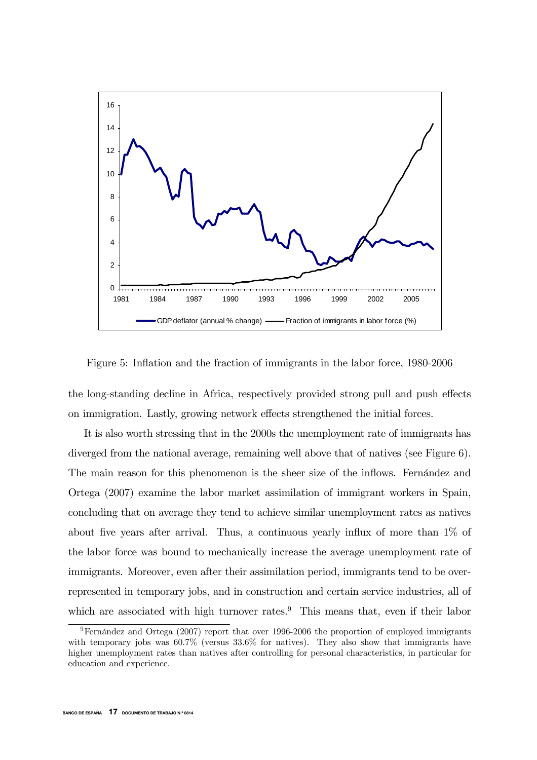

Figure 5: Inflation and the fraction of immigrants in the labor force, 1980-2006

the long-standing decline in Africa, respectively provided strong pull and push effects on immigration. Lastly, growing network effects strengthened the initial forces.

It is also worth stressing that in the 2000s the unemployment rate of immigrants has diverged from the national average, remaining well above that of natives (see Figure 6). The main reason for this phenomenon is the sheer size of the inflows. Fernández and Ortega (2007) examine the labor market assimilation of immigrant workers in Spain, concluding that on average they tend to achieve similar unemployment rates as natives about five years after arrival. Thus, a continuous yearly influx of more than 1% of the labor force was bound to mechanically increase the average unemployment rate of immigrants. Moreover, even after their assimilation period, immigrants tend to be overrepresented in temporary jobs, and in construction and certain service industries, all of which are associated with high turnover rates.<sup>9</sup> This means that, even if their labor

<sup>9</sup>Fernández and Ortega (2007) report that over 1996-2006 the proportion of employed immigrants with temporary jobs was  $60.7\%$  (versus  $33.6\%$  for natives). They also show that immigrants have higher unemployment rates than natives after controlling for personal characteristics, in particular for education and experience.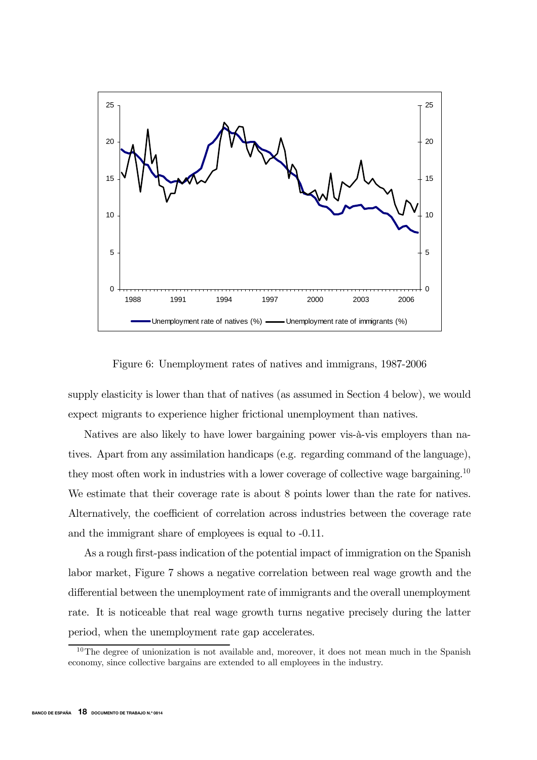

Figure 6: Unemployment rates of natives and immigrans, 1987-2006

supply elasticity is lower than that of natives (as assumed in Section 4 below), we would expect migrants to experience higher frictional unemployment than natives.

Natives are also likely to have lower bargaining power vis-à-vis employers than natives. Apart from any assimilation handicaps (e.g. regarding command of the language), they most often work in industries with a lower coverage of collective wage bargaining.<sup>10</sup> We estimate that their coverage rate is about 8 points lower than the rate for natives. Alternatively, the coefficient of correlation across industries between the coverage rate and the immigrant share of employees is equal to -0.11.

As a rough first-pass indication of the potential impact of immigration on the Spanish labor market, Figure 7 shows a negative correlation between real wage growth and the differential between the unemployment rate of immigrants and the overall unemployment rate. It is noticeable that real wage growth turns negative precisely during the latter period, when the unemployment rate gap accelerates.

 $10$ The degree of unionization is not available and, moreover, it does not mean much in the Spanish economy, since collective bargains are extended to all employees in the industry.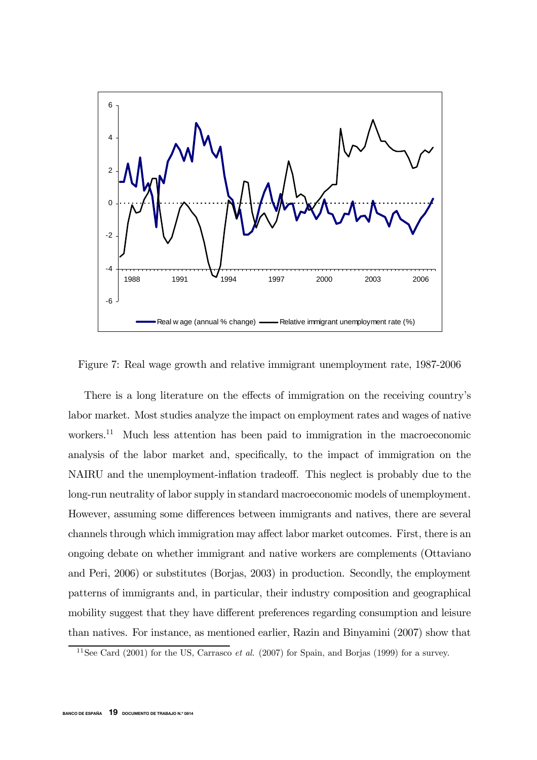

Figure 7: Real wage growth and relative immigrant unemployment rate, 1987-2006

There is a long literature on the effects of immigration on the receiving country's labor market. Most studies analyze the impact on employment rates and wages of native workers.<sup>11</sup> Much less attention has been paid to immigration in the macroeconomic analysis of the labor market and, specifically, to the impact of immigration on the NAIRU and the unemployment-inflation tradeoff. This neglect is probably due to the long-run neutrality of labor supply in standard macroeconomic models of unemployment. However, assuming some differences between immigrants and natives, there are several channels through which immigration may affect labor market outcomes. First, there is an ongoing debate on whether immigrant and native workers are complements (Ottaviano and Peri, 2006) or substitutes (Borjas, 2003) in production. Secondly, the employment patterns of immigrants and, in particular, their industry composition and geographical mobility suggest that they have different preferences regarding consumption and leisure than natives. For instance, as mentioned earlier, Razin and Binyamini (2007) show that

 $11$ See Card (2001) for the US, Carrasco *et al.* (2007) for Spain, and Borjas (1999) for a survey.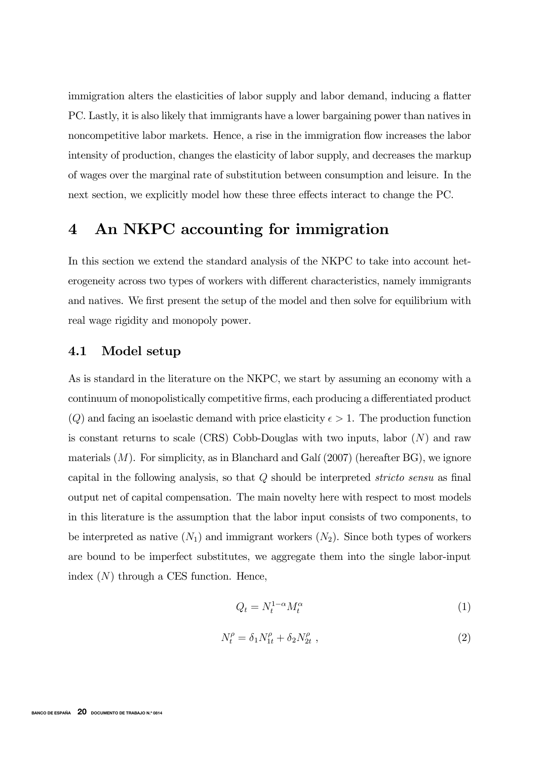immigration alters the elasticities of labor supply and labor demand, inducing a flatter PC. Lastly, it is also likely that immigrants have a lower bargaining power than natives in noncompetitive labor markets. Hence, a rise in the immigration flow increases the labor intensity of production, changes the elasticity of labor supply, and decreases the markup of wages over the marginal rate of substitution between consumption and leisure. In the next section, we explicitly model how these three effects interact to change the PC.

# 4 An NKPC accounting for immigration

In this section we extend the standard analysis of the NKPC to take into account heterogeneity across two types of workers with different characteristics, namely immigrants and natives. We first present the setup of the model and then solve for equilibrium with real wage rigidity and monopoly power.

## 4.1 Model setup

As is standard in the literature on the NKPC, we start by assuming an economy with a continuum of monopolistically competitive firms, each producing a differentiated product  $(Q)$  and facing an isoelastic demand with price elasticity  $\epsilon > 1$ . The production function is constant returns to scale (CRS) Cobb-Douglas with two inputs, labor  $(N)$  and raw materials  $(M)$ . For simplicity, as in Blanchard and Galí  $(2007)$  (hereafter BG), we ignore capital in the following analysis, so that  $Q$  should be interpreted *stricto sensu* as final output net of capital compensation. The main novelty here with respect to most models in this literature is the assumption that the labor input consists of two components, to be interpreted as native  $(N_1)$  and immigrant workers  $(N_2)$ . Since both types of workers are bound to be imperfect substitutes, we aggregate them into the single labor-input index  $(N)$  through a CES function. Hence,

$$
Q_t = N_t^{1-\alpha} M_t^{\alpha} \tag{1}
$$

$$
N_t^{\rho} = \delta_1 N_{1t}^{\rho} + \delta_2 N_{2t}^{\rho} \t{,} \t(2)
$$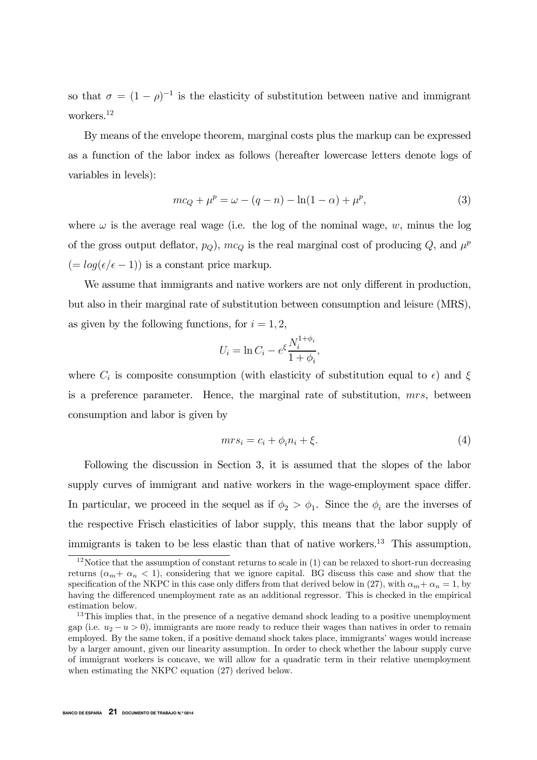so that  $\sigma = (1 - \rho)^{-1}$  is the elasticity of substitution between native and immigrant workers.12

By means of the envelope theorem, marginal costs plus the markup can be expressed as a function of the labor index as follows (hereafter lowercase letters denote logs of variables in levels):

$$
mc_Q + \mu^p = \omega - (q - n) - \ln(1 - \alpha) + \mu^p,
$$
\n(3)

where  $\omega$  is the average real wage (i.e. the log of the nominal wage, w, minus the log of the gross output deflator,  $p_Q$ ),  $mc_Q$  is the real marginal cost of producing Q, and  $\mu^p$  $(= log(\epsilon/\epsilon - 1))$  is a constant price markup.

We assume that immigrants and native workers are not only different in production, but also in their marginal rate of substitution between consumption and leisure (MRS), as given by the following functions, for  $i = 1, 2$ ,

$$
U_i = \ln C_i - e^{\xi} \frac{N_i^{1+\phi_i}}{1+\phi_i},
$$

where  $C_i$  is composite consumption (with elasticity of substitution equal to  $\epsilon$ ) and  $\xi$ is a preference parameter. Hence, the marginal rate of substitution, mrs, between consumption and labor is given by

$$
mrs_i = c_i + \phi_i n_i + \xi. \tag{4}
$$

Following the discussion in Section 3, it is assumed that the slopes of the labor supply curves of immigrant and native workers in the wage-employment space differ. In particular, we proceed in the sequel as if  $\phi_2 > \phi_1$ . Since the  $\phi_i$  are the inverses of the respective Frisch elasticities of labor supply, this means that the labor supply of immigrants is taken to be less elastic than that of native workers.<sup>13</sup> This assumption,

<sup>&</sup>lt;sup>12</sup>Notice that the assumption of constant returns to scale in  $(1)$  can be relaxed to short-run decreasing returns  $(\alpha_m + \alpha_n < 1)$ , considering that we ignore capital. BG discuss this case and show that the specification of the NKPC in this case only differs from that derived below in (27), with  $\alpha_m + \alpha_n = 1$ , by having the differenced unemployment rate as an additional regressor. This is checked in the empirical estimation below.

 $13$ This implies that, in the presence of a negative demand shock leading to a positive unemployment gap (i.e.  $u_2 - u > 0$ ), immigrants are more ready to reduce their wages than natives in order to remain employed. By the same token, if a positive demand shock takes place, immigrants' wages would increase by a larger amount, given our linearity assumption. In order to check whether the labour supply curve of immigrant workers is concave, we will allow for a quadratic term in their relative unemployment when estimating the NKPC equation (27) derived below.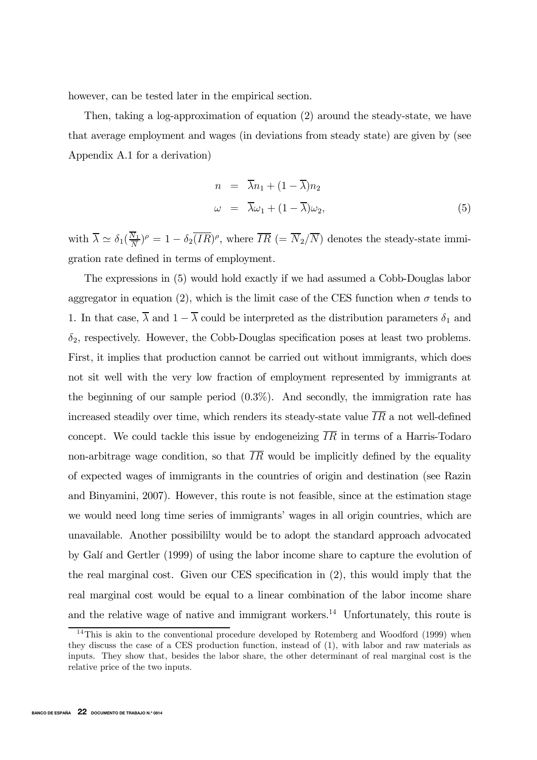however, can be tested later in the empirical section.

Then, taking a log-approximation of equation (2) around the steady-state, we have that average employment and wages (in deviations from steady state) are given by (see Appendix A.1 for a derivation)

$$
n = \overline{\lambda}n_1 + (1 - \overline{\lambda})n_2
$$
  
\n
$$
\omega = \overline{\lambda}\omega_1 + (1 - \overline{\lambda})\omega_2,
$$
\n(5)

with  $\overline{\lambda} \simeq \delta_1(\frac{N_1}{\overline{N}})^{\rho} = 1 - \delta_2 \overline{(IR)}^{\rho}$ , where  $\overline{IR}$  (=  $\overline{N}_2/\overline{N}$ ) denotes the steady-state immigration rate defined in terms of employment.

The expressions in (5) would hold exactly if we had assumed a Cobb-Douglas labor aggregator in equation (2), which is the limit case of the CES function when  $\sigma$  tends to 1. In that case,  $\overline{\lambda}$  and  $1 - \overline{\lambda}$  could be interpreted as the distribution parameters  $\delta_1$  and  $\delta_2$ , respectively. However, the Cobb-Douglas specification poses at least two problems. First, it implies that production cannot be carried out without immigrants, which does not sit well with the very low fraction of employment represented by immigrants at the beginning of our sample period  $(0.3\%)$ . And secondly, the immigration rate has increased steadily over time, which renders its steady-state value  $\overline{IR}$  a not well-defined concept. We could tackle this issue by endogeneizing  $\overline{IR}$  in terms of a Harris-Todaro non-arbitrage wage condition, so that  $\overline{IR}$  would be implicitly defined by the equality of expected wages of immigrants in the countries of origin and destination (see Razin and Binyamini, 2007). However, this route is not feasible, since at the estimation stage we would need long time series of immigrants' wages in all origin countries, which are unavailable. Another possibililty would be to adopt the standard approach advocated by Galí and Gertler (1999) of using the labor income share to capture the evolution of the real marginal cost. Given our CES specification in (2), this would imply that the real marginal cost would be equal to a linear combination of the labor income share and the relative wage of native and immigrant workers.<sup>14</sup> Unfortunately, this route is

 $^{14}$ This is akin to the conventional procedure developed by Rotemberg and Woodford (1999) when they discuss the case of a CES production function, instead of (1), with labor and raw materials as inputs. They show that, besides the labor share, the other determinant of real marginal cost is the relative price of the two inputs.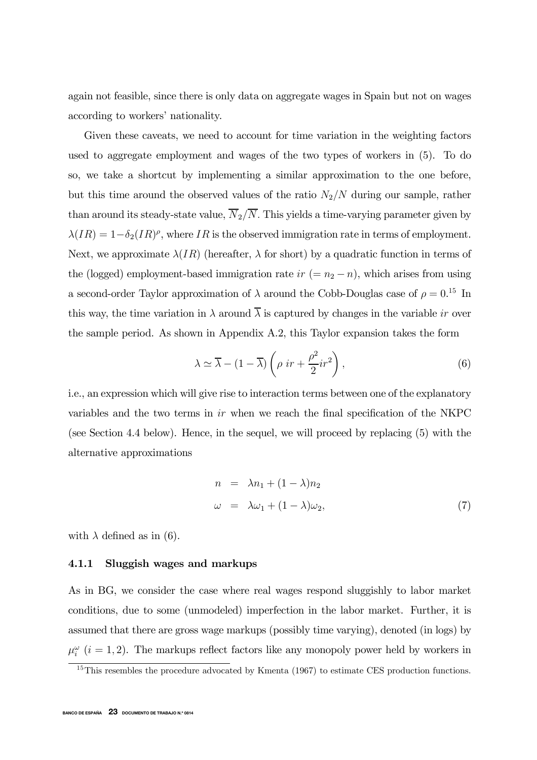again not feasible, since there is only data on aggregate wages in Spain but not on wages according to workers' nationality.

Given these caveats, we need to account for time variation in the weighting factors used to aggregate employment and wages of the two types of workers in (5). To do so, we take a shortcut by implementing a similar approximation to the one before, but this time around the observed values of the ratio  $N_2/N$  during our sample, rather than around its steady-state value,  $\overline{N}_2/\overline{N}$ . This yields a time-varying parameter given by  $\lambda(IR)=1-\delta_2(IR)^{\rho}$ , where IR is the observed immigration rate in terms of employment. Next, we approximate  $\lambda(IR)$  (hereafter,  $\lambda$  for short) by a quadratic function in terms of the (logged) employment-based immigration rate  $ir (= n_2 - n)$ , which arises from using a second-order Taylor approximation of  $\lambda$  around the Cobb-Douglas case of  $\rho = 0.15$  In this way, the time variation in  $\lambda$  around  $\overline{\lambda}$  is captured by changes in the variable ir over the sample period. As shown in Appendix A.2, this Taylor expansion takes the form

$$
\lambda \simeq \overline{\lambda} - (1 - \overline{\lambda}) \left( \rho \ ir + \frac{\rho^2}{2} i r^2 \right),\tag{6}
$$

i.e., an expression which will give rise to interaction terms between one of the explanatory variables and the two terms in ir when we reach the final specification of the NKPC (see Section 4.4 below). Hence, in the sequel, we will proceed by replacing (5) with the alternative approximations

$$
n = \lambda n_1 + (1 - \lambda)n_2
$$
  
\n
$$
\omega = \lambda \omega_1 + (1 - \lambda)\omega_2,
$$
\n(7)

with  $\lambda$  defined as in (6).

#### 4.1.1 Sluggish wages and markups

As in BG, we consider the case where real wages respond sluggishly to labor market conditions, due to some (unmodeled) imperfection in the labor market. Further, it is assumed that there are gross wage markups (possibly time varying), denoted (in logs) by  $\mu_i^{\omega}$  (i = 1, 2). The markups reflect factors like any monopoly power held by workers in

<sup>&</sup>lt;sup>15</sup>This resembles the procedure advocated by Kmenta (1967) to estimate CES production functions.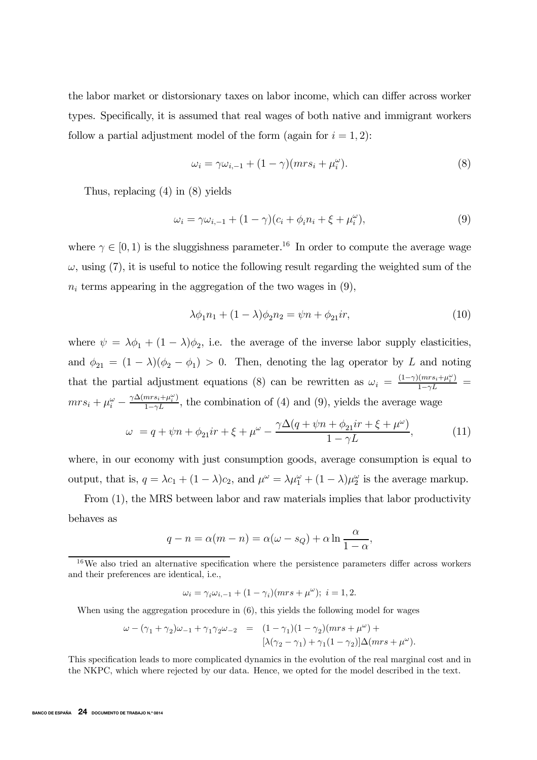the labor market or distorsionary taxes on labor income, which can differ across worker types. Specifically, it is assumed that real wages of both native and immigrant workers follow a partial adjustment model of the form (again for  $i = 1, 2$ ):

$$
\omega_i = \gamma \omega_{i,-1} + (1 - \gamma)(mrs_i + \mu_i^{\omega}). \tag{8}
$$

Thus, replacing (4) in (8) yields

$$
\omega_i = \gamma \omega_{i,-1} + (1 - \gamma)(c_i + \phi_i n_i + \xi + \mu_i^{\omega}), \tag{9}
$$

where  $\gamma \in [0, 1)$  is the sluggishness parameter.<sup>16</sup> In order to compute the average wage  $\omega$ , using (7), it is useful to notice the following result regarding the weighted sum of the  $n_i$  terms appearing in the aggregation of the two wages in  $(9)$ ,

$$
\lambda \phi_1 n_1 + (1 - \lambda)\phi_2 n_2 = \psi n + \phi_{21}ir,\tag{10}
$$

where  $\psi = \lambda \phi_1 + (1 - \lambda) \phi_2$ , i.e. the average of the inverse labor supply elasticities, and  $\phi_{21} = (1 - \lambda)(\phi_2 - \phi_1) > 0$ . Then, denoting the lag operator by L and noting that the partial adjustment equations (8) can be rewritten as  $\omega_i = \frac{(1-\gamma)(mrs_i + \mu_i^{\omega})}{1-\gamma L}$  $mrs_i + \mu_i^{\omega} - \frac{\gamma \Delta(mrs_i + \mu_i^{\omega})}{1-\gamma L}$ , the combination of (4) and (9), yields the average wage

$$
\omega = q + \psi n + \phi_{21} i r + \xi + \mu^{\omega} - \frac{\gamma \Delta (q + \psi n + \phi_{21} i r + \xi + \mu^{\omega})}{1 - \gamma L}, \tag{11}
$$

where, in our economy with just consumption goods, average consumption is equal to output, that is,  $q = \lambda c_1 + (1 - \lambda)c_2$ , and  $\mu^{\omega} = \lambda \mu_1^{\omega} + (1 - \lambda)\mu_2^{\omega}$  is the average markup.

From (1), the MRS between labor and raw materials implies that labor productivity behaves as

$$
q - n = \alpha(m - n) = \alpha(\omega - s_Q) + \alpha \ln \frac{\alpha}{1 - \alpha},
$$

$$
\omega_i = \gamma_i \omega_{i,-1} + (1 - \gamma_i)(mrs + \mu^{\omega}); \ i = 1, 2.
$$

When using the aggregation procedure in  $(6)$ , this yields the following model for wages

$$
\begin{array}{rcl}\n\omega-(\gamma_1+\gamma_2)\omega_{-1}+\gamma_1\gamma_2\omega_{-2} &=& (1-\gamma_1)(1-\gamma_2)(mrs+\mu^\omega)+\\ \n\quad &[\lambda(\gamma_2-\gamma_1)+\gamma_1(1-\gamma_2)]\Delta(mrs+\mu^\omega).\n\end{array}
$$

This specification leads to more complicated dynamics in the evolution of the real marginal cost and in the NKPC, which where rejected by our data. Hence, we opted for the model described in the text.

 $16$ We also tried an alternative specification where the persistence parameters differ across workers and their preferences are identical, i.e.,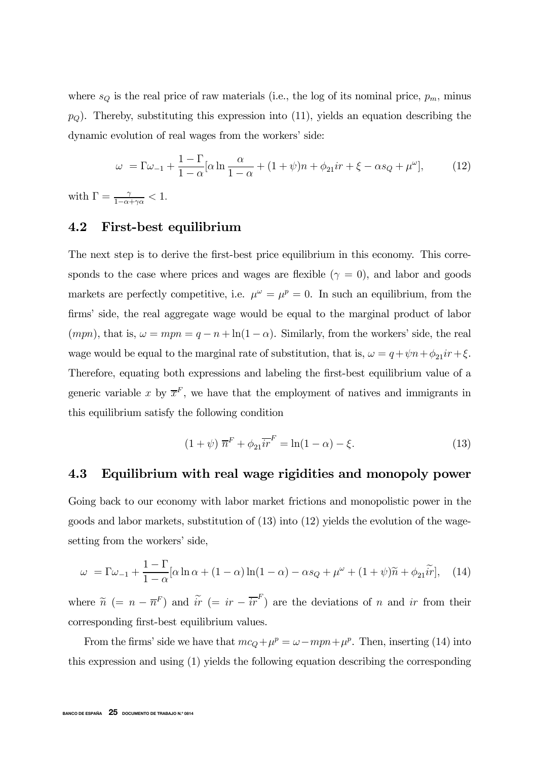where  $s_Q$  is the real price of raw materials (i.e., the log of its nominal price,  $p_m$ , minus  $p<sub>O</sub>$ ). Thereby, substituting this expression into (11), yields an equation describing the dynamic evolution of real wages from the workers' side:

$$
\omega = \Gamma \omega_{-1} + \frac{1 - \Gamma}{1 - \alpha} [\alpha \ln \frac{\alpha}{1 - \alpha} + (1 + \psi)n + \phi_{21}ir + \xi - \alpha s_Q + \mu^\omega],\tag{12}
$$

with  $\Gamma = \frac{\gamma}{1 - \alpha + \gamma \alpha} < 1$ .

## 4.2 First-best equilibrium

The next step is to derive the first-best price equilibrium in this economy. This corresponds to the case where prices and wages are flexible ( $\gamma = 0$ ), and labor and goods markets are perfectly competitive, i.e.  $\mu^{\omega} = \mu^{p} = 0$ . In such an equilibrium, from the firms' side, the real aggregate wage would be equal to the marginal product of labor  $(mpn)$ , that is,  $\omega = mpn = q - n + \ln(1 - \alpha)$ . Similarly, from the workers' side, the real wage would be equal to the marginal rate of substitution, that is,  $\omega = q + \psi n + \phi_{21}ir + \xi$ . Therefore, equating both expressions and labeling the first-best equilibrium value of a generic variable x by  $\overline{x}^F$ , we have that the employment of natives and immigrants in this equilibrium satisfy the following condition

$$
(1 + \psi) \ \overline{n}^F + \phi_{21} \overline{ir}^F = \ln(1 - \alpha) - \xi. \tag{13}
$$

### 4.3 Equilibrium with real wage rigidities and monopoly power

Going back to our economy with labor market frictions and monopolistic power in the goods and labor markets, substitution of (13) into (12) yields the evolution of the wagesetting from the workers' side,

$$
\omega = \Gamma \omega_{-1} + \frac{1 - \Gamma}{1 - \alpha} [\alpha \ln \alpha + (1 - \alpha) \ln(1 - \alpha) - \alpha s_{Q} + \mu^{\omega} + (1 + \psi)\widetilde{n} + \phi_{21} \widetilde{ir}], \quad (14)
$$

where  $\tilde{n}$  (=  $n - \overline{n}^F$ ) and  $\tilde{i}$ r (=  $ir - \overline{ir}^F$ ) are the deviations of n and ir from their corresponding first-best equilibrium values.

From the firms' side we have that  $mc_Q + \mu^p = \omega - mpn + \mu^p$ . Then, inserting (14) into this expression and using (1) yields the following equation describing the corresponding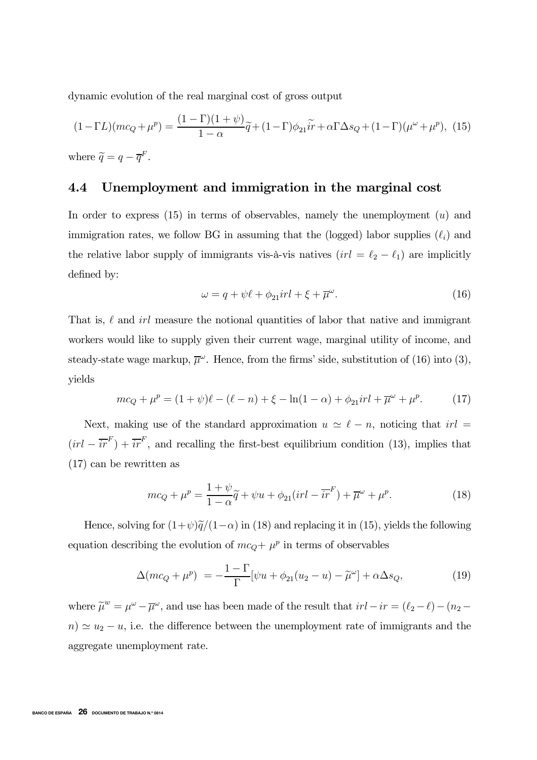dynamic evolution of the real marginal cost of gross output

$$
(1 - \Gamma L)(mc_Q + \mu^p) = \frac{(1 - \Gamma)(1 + \psi)}{1 - \alpha}\widetilde{q} + (1 - \Gamma)\phi_{21}\widetilde{ir} + \alpha\Gamma\Delta s_Q + (1 - \Gamma)(\mu^\omega + \mu^p),
$$
 (15)

where  $\widetilde{q}=q-\overline{q}^F$ .

## 4.4 Unemployment and immigration in the marginal cost

In order to express  $(15)$  in terms of observables, namely the unemployment  $(u)$  and immigration rates, we follow BG in assuming that the (logged) labor supplies  $(\ell_i)$  and the relative labor supply of immigrants vis-à-vis natives  $(irl = \ell_2 - \ell_1)$  are implicitly defined by:

$$
\omega = q + \psi \ell + \phi_{21} \dot{v} \, l + \xi + \overline{\mu}^{\omega}.\tag{16}
$$

That is,  $\ell$  and  $irl$  measure the notional quantities of labor that native and immigrant workers would like to supply given their current wage, marginal utility of income, and steady-state wage markup,  $\overline{\mu}^{\omega}$ . Hence, from the firms' side, substitution of (16) into (3), yields

$$
mc_Q + \mu^p = (1 + \psi)\ell - (\ell - n) + \xi - \ln(1 - \alpha) + \phi_{21}irl + \overline{\mu}^{\omega} + \mu^p. \tag{17}
$$

Next, making use of the standard approximation  $u \approx \ell - n$ , noticing that  $irl =$  $(irl - \overline{ir}^F) + \overline{ir}^F$ , and recalling the first-best equilibrium condition (13), implies that (17) can be rewritten as

$$
mc_Q + \mu^p = \frac{1+\psi}{1-\alpha}\tilde{q} + \psi u + \phi_{21}(irl - \overline{ir}^F) + \overline{\mu}^\omega + \mu^p. \tag{18}
$$

Hence, solving for  $(1+\psi)\tilde{q}/(1-\alpha)$  in (18) and replacing it in (15), yields the following equation describing the evolution of  $mc_Q + \mu^p$  in terms of observables

$$
\Delta(mc_Q + \mu^p) = -\frac{1-\Gamma}{\Gamma}[\psi u + \phi_{21}(u_2 - u) - \tilde{\mu}^\omega] + \alpha \Delta s_Q,
$$
\n(19)

where  $\tilde{\mu}^w = \mu^{\omega} - \overline{\mu}^{\omega}$ , and use has been made of the result that  $irl - ir = (\ell_2 - \ell) - (n_2 - \overline{\ell})$  $n) \simeq u_2 - u$ , i.e. the difference between the unemployment rate of immigrants and the aggregate unemployment rate.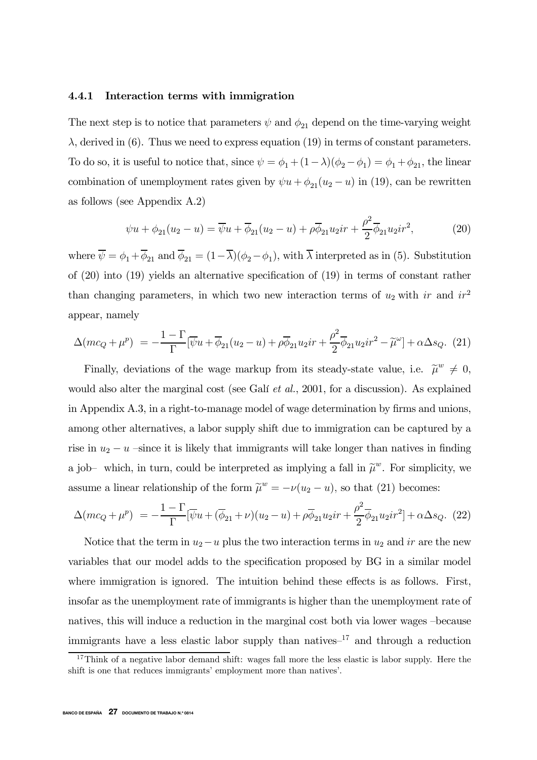#### 4.4.1 Interaction terms with immigration

The next step is to notice that parameters  $\psi$  and  $\phi_{21}$  depend on the time-varying weight  $\lambda$ , derived in (6). Thus we need to express equation (19) in terms of constant parameters. To do so, it is useful to notice that, since  $\psi = \phi_1 + (1 - \lambda)(\phi_2 - \phi_1) = \phi_1 + \phi_{21}$ , the linear combination of unemployment rates given by  $\psi u + \phi_{21}(u_2 - u)$  in (19), can be rewritten as follows (see Appendix A.2)

$$
\psi u + \phi_{21}(u_2 - u) = \overline{\psi}u + \overline{\phi}_{21}(u_2 - u) + \rho \overline{\phi}_{21} u_2 i r + \frac{\rho^2}{2} \overline{\phi}_{21} u_2 i r^2, \tag{20}
$$

where  $\overline{\psi} = \phi_1 + \overline{\phi}_{21}$  and  $\overline{\phi}_{21} = (1 - \overline{\lambda})(\phi_2 - \phi_1)$ , with  $\overline{\lambda}$  interpreted as in (5). Substitution of (20) into (19) yields an alternative specification of (19) in terms of constant rather than changing parameters, in which two new interaction terms of  $u_2$  with ir and  $ir^2$ appear, namely

$$
\Delta(mc_Q + \mu^p) = -\frac{1-\Gamma}{\Gamma}[\overline{\psi}u + \overline{\phi}_{21}(u_2 - u) + \rho\overline{\phi}_{21}u_2ir + \frac{\rho^2}{2}\overline{\phi}_{21}u_2ir^2 - \widetilde{\mu}^{\omega}] + \alpha\Delta s_Q.
$$
 (21)

Finally, deviations of the wage markup from its steady-state value, i.e.  $\tilde{\mu}^w \neq 0$ , would also alter the marginal cost (see Galí *et al.*, 2001, for a discussion). As explained in Appendix A.3, in a right-to-manage model of wage determination by firms and unions, among other alternatives, a labor supply shift due to immigration can be captured by a rise in  $u_2 - u$  –since it is likely that immigrants will take longer than natives in finding a job- which, in turn, could be interpreted as implying a fall in  $\tilde{\mu}^w$ . For simplicity, we assume a linear relationship of the form  $\tilde{\mu}^w = -\nu(u_2 - u)$ , so that (21) becomes:

$$
\Delta(mc_Q + \mu^p) = -\frac{1-\Gamma}{\Gamma}[\overline{\psi}u + (\overline{\phi}_{21} + \nu)(u_2 - u) + \rho\overline{\phi}_{21}u_2ir + \frac{\rho^2}{2}\overline{\phi}_{21}u_2ir^2] + \alpha\Delta s_Q.
$$
 (22)

Notice that the term in  $u_2-u$  plus the two interaction terms in  $u_2$  and ir are the new variables that our model adds to the specification proposed by BG in a similar model where immigration is ignored. The intuition behind these effects is as follows. First, insofar as the unemployment rate of immigrants is higher than the unemployment rate of natives, this will induce a reduction in the marginal cost both via lower wages —because immigrants have a less elastic labor supply than natives<sup> $-17$ </sup> and through a reduction

 $17$ Think of a negative labor demand shift: wages fall more the less elastic is labor supply. Here the shift is one that reduces immigrants' employment more than natives'.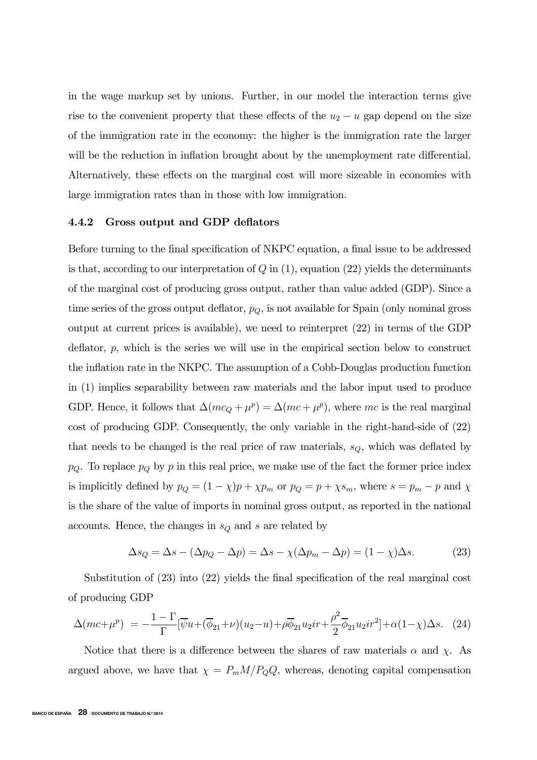in the wage markup set by unions. Further, in our model the interaction terms give rise to the convenient property that these effects of the  $u_2 - u$  gap depend on the size of the immigration rate in the economy: the higher is the immigration rate the larger will be the reduction in inflation brought about by the unemployment rate differential. Alternatively, these effects on the marginal cost will more sizeable in economies with large immigration rates than in those with low immigration.

#### 4.4.2 Gross output and GDP deflators

Before turning to the final specification of NKPC equation, a final issue to be addressed is that, according to our interpretation of  $Q$  in  $(1)$ , equation  $(22)$  yields the determinants of the marginal cost of producing gross output, rather than value added (GDP). Since a time series of the gross output deflator,  $p_Q$ , is not available for Spain (only nominal gross output at current prices is available), we need to reinterpret (22) in terms of the GDP deflator, p, which is the series we will use in the empirical section below to construct the inflation rate in the NKPC. The assumption of a Cobb-Douglas production function in (1) implies separability between raw materials and the labor input used to produce GDP. Hence, it follows that  $\Delta(mc_Q + \mu^p) = \Delta(mc + \mu^p)$ , where mc is the real marginal cost of producing GDP. Consequently, the only variable in the right-hand-side of (22) that needs to be changed is the real price of raw materials,  $s_Q$ , which was deflated by  $p_Q$ . To replace  $p_Q$  by p in this real price, we make use of the fact the former price index is implicitly defined by  $p_Q = (1 - \chi)p + \chi p_m$  or  $p_Q = p + \chi s_m$ , where  $s = p_m - p$  and  $\chi$ is the share of the value of imports in nominal gross output, as reported in the national accounts. Hence, the changes in  $s_Q$  and s are related by

$$
\Delta s_Q = \Delta s - (\Delta p_Q - \Delta p) = \Delta s - \chi(\Delta p_m - \Delta p) = (1 - \chi)\Delta s. \tag{23}
$$

Substitution of (23) into (22) yields the final specification of the real marginal cost of producing GDP

$$
\Delta(mc+\mu^{p}) = -\frac{1-\Gamma}{\Gamma}[\overline{\psi}u+(\overline{\phi}_{21}+\nu)(u_{2}-u)+\rho\overline{\phi}_{21}u_{2}ir+\frac{\rho^{2}}{2}\overline{\phi}_{21}u_{2}ir^{2}]+\alpha(1-\chi)\Delta s. \quad (24)
$$

Notice that there is a difference between the shares of raw materials  $\alpha$  and  $\chi$ . As argued above, we have that  $\chi = P_m M / P_Q Q$ , whereas, denoting capital compensation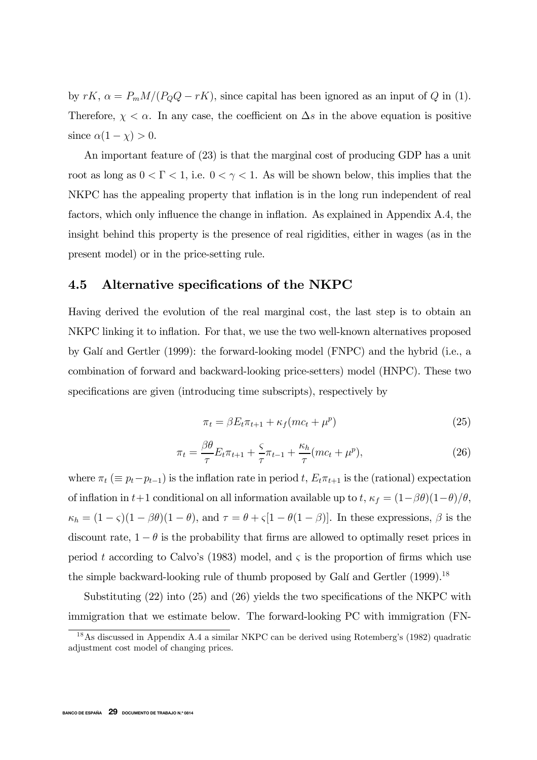by  $rK$ ,  $\alpha = P_m M/(P_Q Q - rK)$ , since capital has been ignored as an input of Q in (1). Therefore,  $\chi < \alpha$ . In any case, the coefficient on  $\Delta s$  in the above equation is positive since  $\alpha(1-\chi) > 0$ .

An important feature of (23) is that the marginal cost of producing GDP has a unit root as long as  $0 < \Gamma < 1$ , i.e.  $0 < \gamma < 1$ . As will be shown below, this implies that the NKPC has the appealing property that inflation is in the long run independent of real factors, which only influence the change in inflation. As explained in Appendix A.4, the insight behind this property is the presence of real rigidities, either in wages (as in the present model) or in the price-setting rule.

#### 4.5 Alternative specifications of the NKPC

Having derived the evolution of the real marginal cost, the last step is to obtain an NKPC linking it to inflation. For that, we use the two well-known alternatives proposed by Galí and Gertler (1999): the forward-looking model (FNPC) and the hybrid (i.e., a combination of forward and backward-looking price-setters) model (HNPC). These two specifications are given (introducing time subscripts), respectively by

$$
\pi_t = \beta E_t \pi_{t+1} + \kappa_f (mc_t + \mu^p) \tag{25}
$$

$$
\pi_t = \frac{\beta \theta}{\tau} E_t \pi_{t+1} + \frac{\varsigma}{\tau} \pi_{t-1} + \frac{\kappa_h}{\tau} (mc_t + \mu^p), \tag{26}
$$

where  $\pi_t (\equiv p_t - p_{t-1})$  is the inflation rate in period t,  $E_t \pi_{t+1}$  is the (rational) expectation of inflation in t+1 conditional on all information available up to t,  $\kappa_f = (1-\beta\theta)(1-\theta)/\theta$ ,  $\kappa_h = (1 - \varsigma)(1 - \beta \theta)(1 - \theta)$ , and  $\tau = \theta + \varsigma[1 - \theta(1 - \beta)]$ . In these expressions,  $\beta$  is the discount rate,  $1 - \theta$  is the probability that firms are allowed to optimally reset prices in period t according to Calvo's (1983) model, and  $\varsigma$  is the proportion of firms which use the simple backward-looking rule of thumb proposed by Galí and Gertler (1999).<sup>18</sup>

Substituting (22) into (25) and (26) yields the two specifications of the NKPC with immigration that we estimate below. The forward-looking PC with immigration (FN-

<sup>18</sup>As discussed in Appendix A.4 a similar NKPC can be derived using Rotemberg's (1982) quadratic adjustment cost model of changing prices.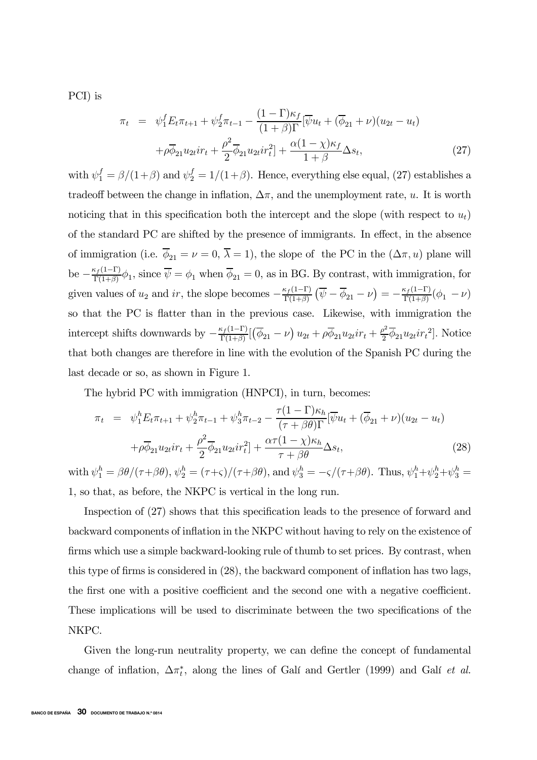PCI) is

$$
\pi_t = \psi_1^f E_t \pi_{t+1} + \psi_2^f \pi_{t-1} - \frac{(1-\Gamma)\kappa_f}{(1+\beta)\Gamma} [\overline{\psi}u_t + (\overline{\phi}_{21} + \nu)(u_{2t} - u_t) \n+ \rho \overline{\phi}_{21} u_{2t} i r_t + \frac{\rho^2}{2} \overline{\phi}_{21} u_{2t} i r_t^2] + \frac{\alpha (1-\chi)\kappa_f}{1+\beta} \Delta s_t,
$$
\n(27)

with  $\psi_1^f = \frac{\beta}{(1+\beta)}$  and  $\psi_2^f = \frac{1}{(1+\beta)}$ . Hence, everything else equal, (27) establishes a tradeoff between the change in inflation,  $\Delta \pi$ , and the unemployment rate, u. It is worth noticing that in this specification both the intercept and the slope (with respect to  $u_t$ ) of the standard PC are shifted by the presence of immigrants. In effect, in the absence of immigration (i.e.  $\overline{\phi}_{21} = \nu = 0, \overline{\lambda} = 1$ ), the slope of the PC in the  $(\Delta \pi, u)$  plane will be  $-\frac{\kappa_f(1-\Gamma)}{\Gamma(1+\beta)}\phi_1$ , since  $\overline{\psi} = \phi_1$  when  $\overline{\phi}_{21} = 0$ , as in BG. By contrast, with immigration, for given values of  $u_2$  and ir, the slope becomes  $-\frac{\kappa_f(1-\Gamma)}{\Gamma(1+\beta)}(\overline{\psi}-\overline{\phi}_{21}-\nu)=-\frac{\kappa_f(1-\Gamma)}{\Gamma(1+\beta)}(\phi_1-\nu)$ so that the PC is flatter than in the previous case. Likewise, with immigration the intercept shifts downwards by  $-\frac{\kappa_f(1-\Gamma)}{\Gamma(1+\beta)}[(\overline{\phi}_{21}-\nu)u_{2t}+\rho\overline{\phi}_{21}u_{2t}ir_t+\frac{\rho^2}{2}\overline{\phi}_{21}u_{2t}ir_t^2]$ . Notice that both changes are therefore in line with the evolution of the Spanish PC during the last decade or so, as shown in Figure 1.

The hybrid PC with immigration (HNPCI), in turn, becomes:

$$
\pi_t = \psi_1^h E_t \pi_{t+1} + \psi_2^h \pi_{t-1} + \psi_3^h \pi_{t-2} - \frac{\tau (1 - \Gamma) \kappa_h}{(\tau + \beta \theta) \Gamma} [\overline{\psi} u_t + (\overline{\phi}_{21} + \nu) (u_{2t} - u_t) + \rho \overline{\phi}_{21} u_{2t} i r_t + \frac{\rho^2}{2} \overline{\phi}_{21} u_{2t} i r_t^2] + \frac{\alpha \tau (1 - \chi) \kappa_h}{\tau + \beta \theta} \Delta s_t,
$$
\n(28)

with  $\psi_1^h = \beta \theta/(\tau + \beta \theta)$ ,  $\psi_2^h = (\tau + \varsigma)/(\tau + \beta \theta)$ , and  $\psi_3^h = -\varsigma/(\tau + \beta \theta)$ . Thus,  $\psi_1^h + \psi_2^h + \psi_3^h =$ 1, so that, as before, the NKPC is vertical in the long run.

Inspection of (27) shows that this specification leads to the presence of forward and backward components of inflation in the NKPC without having to rely on the existence of firms which use a simple backward-looking rule of thumb to set prices. By contrast, when this type of firms is considered in (28), the backward component of inflation has two lags, the first one with a positive coefficient and the second one with a negative coefficient. These implications will be used to discriminate between the two specifications of the NKPC.

Given the long-run neutrality property, we can define the concept of fundamental change of inflation,  $\Delta \pi_t^*$ , along the lines of Galí and Gertler (1999) and Galí *et al.*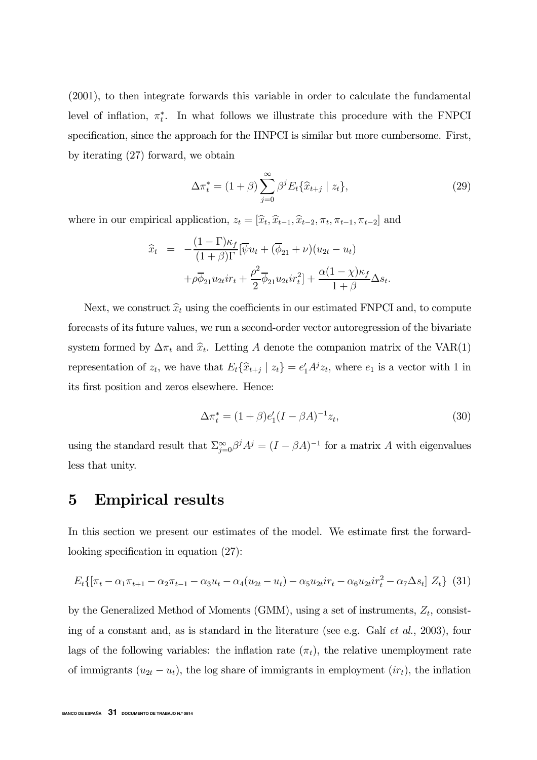(2001), to then integrate forwards this variable in order to calculate the fundamental level of inflation,  $\pi_t^*$ . In what follows we illustrate this procedure with the FNPCI specification, since the approach for the HNPCI is similar but more cumbersome. First, by iterating (27) forward, we obtain

$$
\Delta \pi_t^* = (1+\beta) \sum_{j=0}^{\infty} \beta^j E_t \{ \widehat{x}_{t+j} \mid z_t \}, \tag{29}
$$

where in our empirical application,  $z_t = [\hat{x}_t, \hat{x}_{t-1}, \hat{x}_{t-2}, \pi_t, \pi_{t-1}, \pi_{t-2}]$  and

$$
\widehat{x}_t = -\frac{(1-\Gamma)\kappa_f}{(1+\beta)\Gamma} [\overline{\psi}u_t + (\overline{\phi}_{21} + \nu)(u_{2t} - u_t) \n+ \rho \overline{\phi}_{21} u_{2t} i r_t + \frac{\rho^2}{2} \overline{\phi}_{21} u_{2t} i r_t^2] + \frac{\alpha (1-\chi)\kappa_f}{1+\beta} \Delta s_t.
$$

Next, we construct  $\hat{x}_t$  using the coefficients in our estimated FNPCI and, to compute forecasts of its future values, we run a second-order vector autoregression of the bivariate system formed by  $\Delta \pi_t$  and  $\hat{x}_t$ . Letting A denote the companion matrix of the VAR(1) representation of  $z_t$ , we have that  $E_t\{\hat{x}_{t+j} | z_t\} = e'_1 A^j z_t$ , where  $e_1$  is a vector with 1 in its first position and zeros elsewhere. Hence:

$$
\Delta \pi_t^* = (1 + \beta)e_1'(I - \beta A)^{-1}z_t,
$$
\n(30)

using the standard result that  $\sum_{j=0}^{\infty} \beta^j A^j = (I - \beta A)^{-1}$  for a matrix A with eigenvalues less that unity.

## 5 Empirical results

In this section we present our estimates of the model. We estimate first the forwardlooking specification in equation (27):

$$
E_t\{[\pi_t - \alpha_1 \pi_{t+1} - \alpha_2 \pi_{t-1} - \alpha_3 u_t - \alpha_4 (u_{2t} - u_t) - \alpha_5 u_{2t} i r_t - \alpha_6 u_{2t} i r_t^2 - \alpha_7 \Delta s_t] Z_t\}
$$
(31)

by the Generalized Method of Moments (GMM), using a set of instruments,  $Z_t$ , consisting of a constant and, as is standard in the literature (see e.g. Galí et al., 2003), four lags of the following variables: the inflation rate  $(\pi_t)$ , the relative unemployment rate of immigrants  $(u_{2t} - u_t)$ , the log share of immigrants in employment  $(ir_t)$ , the inflation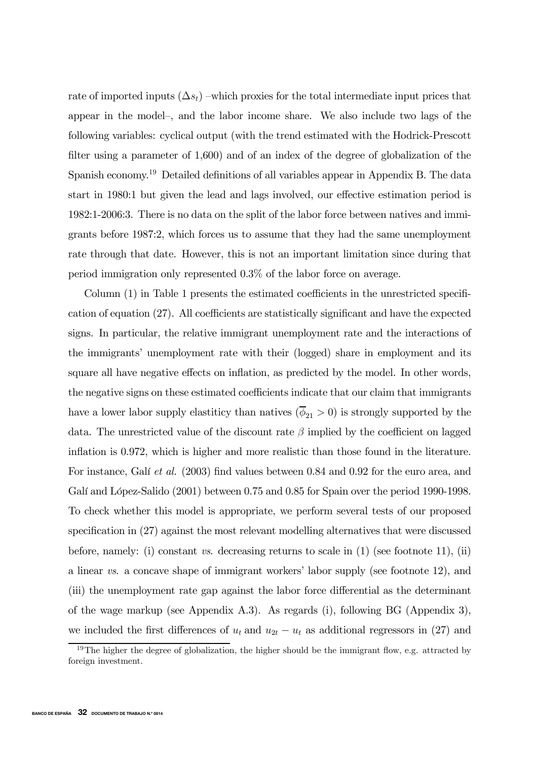rate of imported inputs  $(\Delta s_t)$  –which proxies for the total intermediate input prices that appear in the model—, and the labor income share. We also include two lags of the following variables: cyclical output (with the trend estimated with the Hodrick-Prescott filter using a parameter of 1,600) and of an index of the degree of globalization of the Spanish economy.19 Detailed definitions of all variables appear in Appendix B. The data start in 1980:1 but given the lead and lags involved, our effective estimation period is 1982:1-2006:3. There is no data on the split of the labor force between natives and immigrants before 1987:2, which forces us to assume that they had the same unemployment rate through that date. However, this is not an important limitation since during that period immigration only represented 0.3% of the labor force on average.

Column (1) in Table 1 presents the estimated coefficients in the unrestricted specification of equation (27). All coefficients are statistically significant and have the expected signs. In particular, the relative immigrant unemployment rate and the interactions of the immigrants' unemployment rate with their (logged) share in employment and its square all have negative effects on inflation, as predicted by the model. In other words, the negative signs on these estimated coefficients indicate that our claim that immigrants have a lower labor supply elastiticy than natives  $(\bar{\phi}_{21} > 0)$  is strongly supported by the data. The unrestricted value of the discount rate  $\beta$  implied by the coefficient on lagged inflation is 0.972, which is higher and more realistic than those found in the literature. For instance, Galí et al. (2003) find values between 0.84 and 0.92 for the euro area, and Galí and López-Salido (2001) between 0.75 and 0.85 for Spain over the period 1990-1998. To check whether this model is appropriate, we perform several tests of our proposed specification in (27) against the most relevant modelling alternatives that were discussed before, namely: (i) constant vs. decreasing returns to scale in  $(1)$  (see footnote 11), (ii) a linear vs. a concave shape of immigrant workers' labor supply (see footnote 12), and (iii) the unemployment rate gap against the labor force differential as the determinant of the wage markup (see Appendix A.3). As regards (i), following BG (Appendix 3), we included the first differences of  $u_t$  and  $u_{2t} - u_t$  as additional regressors in (27) and

<sup>&</sup>lt;sup>19</sup>The higher the degree of globalization, the higher should be the immigrant flow, e.g. attracted by foreign investment.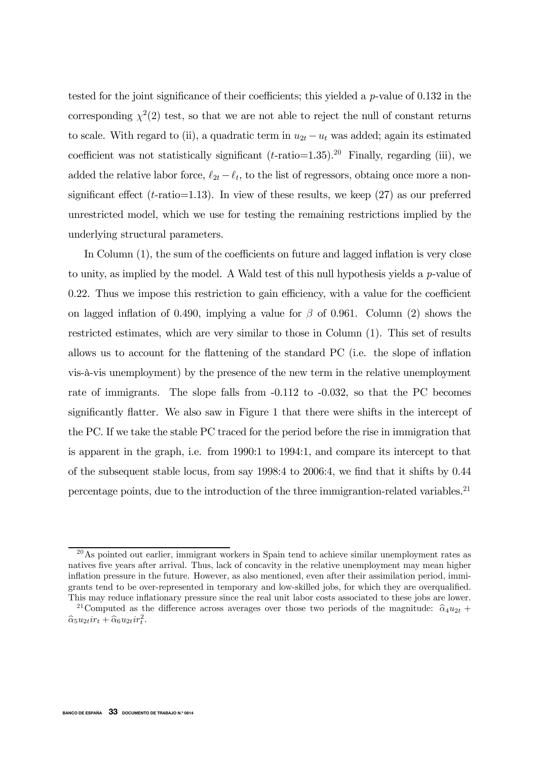tested for the joint significance of their coefficients; this yielded a  $p$ -value of 0.132 in the corresponding  $\chi^2(2)$  test, so that we are not able to reject the null of constant returns to scale. With regard to (ii), a quadratic term in  $u_{2t} - u_t$  was added; again its estimated coefficient was not statistically significant  $(t\text{-ratio}=1.35)$ .<sup>20</sup> Finally, regarding (iii), we added the relative labor force,  $\ell_{2t} - \ell_t$ , to the list of regressors, obtaing once more a nonsignificant effect ( $t$ -ratio=1.13). In view of these results, we keep (27) as our preferred unrestricted model, which we use for testing the remaining restrictions implied by the underlying structural parameters.

In Column (1), the sum of the coefficients on future and lagged inflation is very close to unity, as implied by the model. A Wald test of this null hypothesis yields a p-value of 0.22. Thus we impose this restriction to gain efficiency, with a value for the coefficient on lagged inflation of 0.490, implying a value for  $\beta$  of 0.961. Column (2) shows the restricted estimates, which are very similar to those in Column (1). This set of results allows us to account for the flattening of the standard PC (i.e. the slope of inflation vis-à-vis unemployment) by the presence of the new term in the relative unemployment rate of immigrants. The slope falls from  $-0.112$  to  $-0.032$ , so that the PC becomes significantly flatter. We also saw in Figure 1 that there were shifts in the intercept of the PC. If we take the stable PC traced for the period before the rise in immigration that is apparent in the graph, i.e. from 1990:1 to 1994:1, and compare its intercept to that of the subsequent stable locus, from say 1998:4 to 2006:4, we find that it shifts by 0.44 percentage points, due to the introduction of the three immigrantion-related variables.<sup>21</sup>

<sup>&</sup>lt;sup>20</sup>As pointed out earlier, immigrant workers in Spain tend to achieve similar unemployment rates as natives five years after arrival. Thus, lack of concavity in the relative unemployment may mean higher inflation pressure in the future. However, as also mentioned, even after their assimilation period, immigrants tend to be over-represented in temporary and low-skilled jobs, for which they are overqualified. This may reduce inflationary pressure since the real unit labor costs associated to these jobs are lower.

<sup>&</sup>lt;sup>21</sup>Computed as the difference across averages over those two periods of the magnitude:  $\hat{\alpha}_4u_{2t}$  +  $\widehat{\alpha}_5 u_{2t} \dot{x}_t + \widehat{\alpha}_6 u_{2t} \dot{x}_t^2.$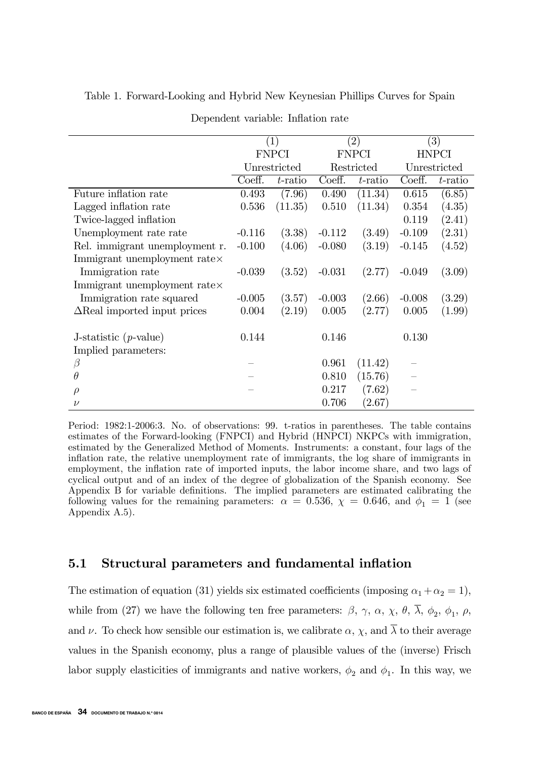|                                      | $\left(1\right)$ |            | $\left( 2\right)$ |            | $\left( 3\right)$ |         |
|--------------------------------------|------------------|------------|-------------------|------------|-------------------|---------|
|                                      | <b>FNPCI</b>     |            | <b>FNPCI</b>      |            | <b>HNPCI</b>      |         |
|                                      | Unrestricted     |            | Restricted        |            | Unrestricted      |         |
|                                      | Coeff.           | $t$ -ratio | Coeff.            | $t$ -ratio | Coeff.            | t-ratio |
| Future inflation rate                | 0.493            | (7.96)     | 0.490             | (11.34)    | 0.615             | (6.85)  |
| Lagged inflation rate                | 0.536            | (11.35)    | 0.510             | (11.34)    | 0.354             | (4.35)  |
| Twice-lagged inflation               |                  |            |                   |            | 0.119             | (2.41)  |
| Unemployment rate rate               | $-0.116$         | (3.38)     | $-0.112$          | (3.49)     | $-0.109$          | (2.31)  |
| Rel. immigrant unemployment r.       | $-0.100$         | (4.06)     | $-0.080$          | (3.19)     | $-0.145$          | (4.52)  |
| Immigrant unemployment rate $\times$ |                  |            |                   |            |                   |         |
| Immigration rate                     | $-0.039$         | (3.52)     | $-0.031$          | (2.77)     | $-0.049$          | (3.09)  |
| Immigrant unemployment rate $\times$ |                  |            |                   |            |                   |         |
| Immigration rate squared             | $-0.005$         | (3.57)     | $-0.003$          | (2.66)     | $-0.008$          | (3.29)  |
| $\Delta$ Real imported input prices  | 0.004            | (2.19)     | 0.005             | (2.77)     | 0.005             | (1.99)  |
|                                      | 0.144            |            | 0.146             |            | 0.130             |         |
| J-statistic $(p$ -value)             |                  |            |                   |            |                   |         |
| Implied parameters:                  |                  |            |                   |            |                   |         |
| $\beta$                              |                  |            | 0.961             | (11.42)    |                   |         |
| $\theta$                             |                  |            | 0.810             | (15.76)    |                   |         |
| $\rho$                               |                  |            | 0.217             | (7.62)     |                   |         |
| ν                                    |                  |            | 0.706             | (2.67)     |                   |         |

Table 1. Forward-Looking and Hybrid New Keynesian Phillips Curves for Spain

Dependent variable: Inflation rate

Period: 1982:1-2006:3. No. of observations: 99. t-ratios in parentheses. The table contains estimates of the Forward-looking (FNPCI) and Hybrid (HNPCI) NKPCs with immigration, estimated by the Generalized Method of Moments. Instruments: a constant, four lags of the inflation rate, the relative unemployment rate of immigrants, the log share of immigrants in employment, the inflation rate of imported inputs, the labor income share, and two lags of cyclical output and of an index of the degree of globalization of the Spanish economy. See Appendix B for variable definitions. The implied parameters are estimated calibrating the following values for the remaining parameters:  $\alpha = 0.536, \chi = 0.646, \text{ and } \phi_1 = 1$  (see Appendix A.5).

## 5.1 Structural parameters and fundamental inflation

The estimation of equation (31) yields six estimated coefficients (imposing  $\alpha_1 + \alpha_2 = 1$ ), while from (27) we have the following ten free parameters:  $\beta$ ,  $\gamma$ ,  $\alpha$ ,  $\chi$ ,  $\theta$ ,  $\overline{\lambda}$ ,  $\phi_2$ ,  $\phi_1$ ,  $\rho$ , and  $\nu$ . To check how sensible our estimation is, we calibrate  $\alpha$ ,  $\chi$ , and  $\overline{\lambda}$  to their average values in the Spanish economy, plus a range of plausible values of the (inverse) Frisch labor supply elasticities of immigrants and native workers,  $\phi_2$  and  $\phi_1$ . In this way, we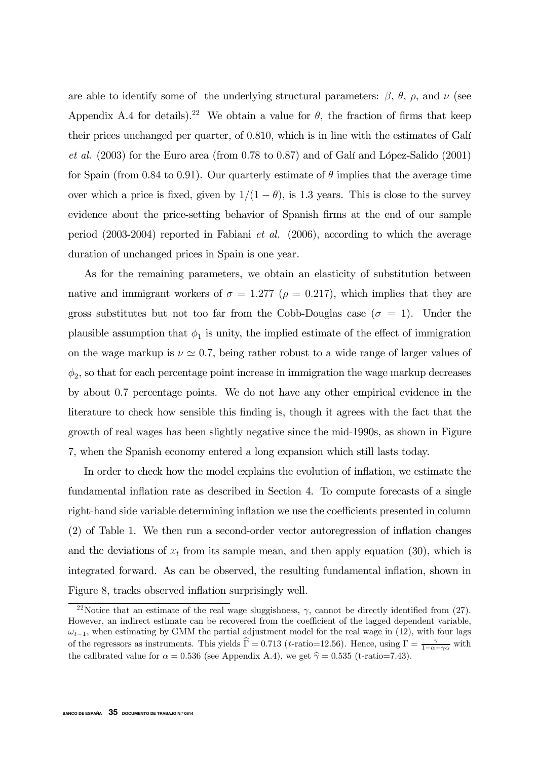are able to identify some of the underlying structural parameters:  $\beta$ ,  $\theta$ ,  $\rho$ , and  $\nu$  (see Appendix A.4 for details).<sup>22</sup> We obtain a value for  $\theta$ , the fraction of firms that keep their prices unchanged per quarter, of 0.810, which is in line with the estimates of Galí et al. (2003) for the Euro area (from 0.78 to 0.87) and of Galí and López-Salido (2001) for Spain (from 0.84 to 0.91). Our quarterly estimate of  $\theta$  implies that the average time over which a price is fixed, given by  $1/(1 - \theta)$ , is 1.3 years. This is close to the survey evidence about the price-setting behavior of Spanish firms at the end of our sample period (2003-2004) reported in Fabiani et al. (2006), according to which the average duration of unchanged prices in Spain is one year.

As for the remaining parameters, we obtain an elasticity of substitution between native and immigrant workers of  $\sigma = 1.277$  ( $\rho = 0.217$ ), which implies that they are gross substitutes but not too far from the Cobb-Douglas case ( $\sigma = 1$ ). Under the plausible assumption that  $\phi_1$  is unity, the implied estimate of the effect of immigration on the wage markup is  $\nu \simeq 0.7$ , being rather robust to a wide range of larger values of  $\phi_2$ , so that for each percentage point increase in immigration the wage markup decreases by about 0.7 percentage points. We do not have any other empirical evidence in the literature to check how sensible this finding is, though it agrees with the fact that the growth of real wages has been slightly negative since the mid-1990s, as shown in Figure 7, when the Spanish economy entered a long expansion which still lasts today.

In order to check how the model explains the evolution of inflation, we estimate the fundamental inflation rate as described in Section 4. To compute forecasts of a single right-hand side variable determining inflation we use the coefficients presented in column (2) of Table 1. We then run a second-order vector autoregression of inflation changes and the deviations of  $x_t$  from its sample mean, and then apply equation (30), which is integrated forward. As can be observed, the resulting fundamental inflation, shown in Figure 8, tracks observed inflation surprisingly well.

<sup>&</sup>lt;sup>22</sup>Notice that an estimate of the real wage sluggishness,  $\gamma$ , cannot be directly identified from (27). However, an indirect estimate can be recovered from the coefficient of the lagged dependent variable,  $\omega_{t-1}$ , when estimating by GMM the partial adjustment model for the real wage in (12), with four lags of the regressors as instruments. This yields  $\hat{\Gamma} = 0.713$  (*t*-ratio=12.56). Hence, using  $\Gamma = \frac{\gamma}{1-\alpha+\gamma\alpha}$  with the calibrated value for  $\alpha = 0.536$  (see Appendix A.4), we get  $\hat{\gamma} = 0.535$  (t-ratio=7.43).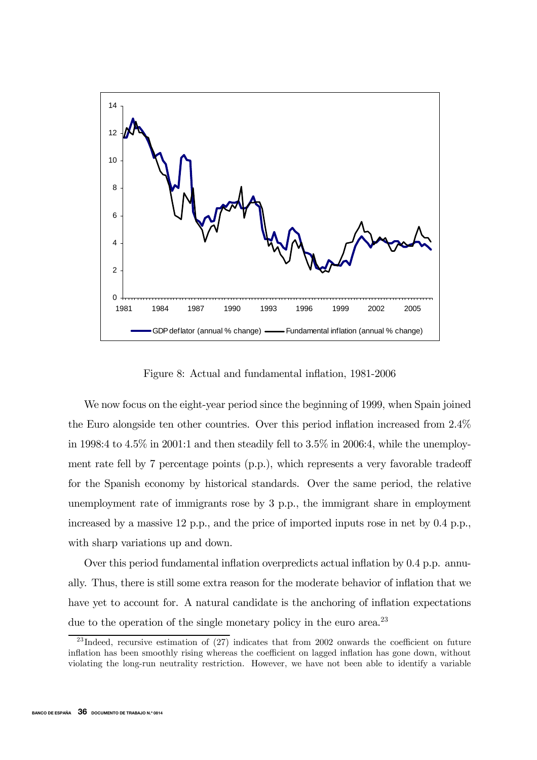

Figure 8: Actual and fundamental inflation, 1981-2006

We now focus on the eight-year period since the beginning of 1999, when Spain joined the Euro alongside ten other countries. Over this period inflation increased from 2.4% in 1998:4 to  $4.5\%$  in 2001:1 and then steadily fell to  $3.5\%$  in 2006:4, while the unemployment rate fell by 7 percentage points (p.p.), which represents a very favorable tradeoff for the Spanish economy by historical standards. Over the same period, the relative unemployment rate of immigrants rose by 3 p.p., the immigrant share in employment increased by a massive 12 p.p., and the price of imported inputs rose in net by 0.4 p.p., with sharp variations up and down.

Over this period fundamental inflation overpredicts actual inflation by 0.4 p.p. annually. Thus, there is still some extra reason for the moderate behavior of inflation that we have yet to account for. A natural candidate is the anchoring of inflation expectations due to the operation of the single monetary policy in the euro area.<sup>23</sup>

<sup>&</sup>lt;sup>23</sup>Indeed, recursive estimation of  $(27)$  indicates that from 2002 onwards the coefficient on future inflation has been smoothly rising whereas the coefficient on lagged inflation has gone down, without violating the long-run neutrality restriction. However, we have not been able to identify a variable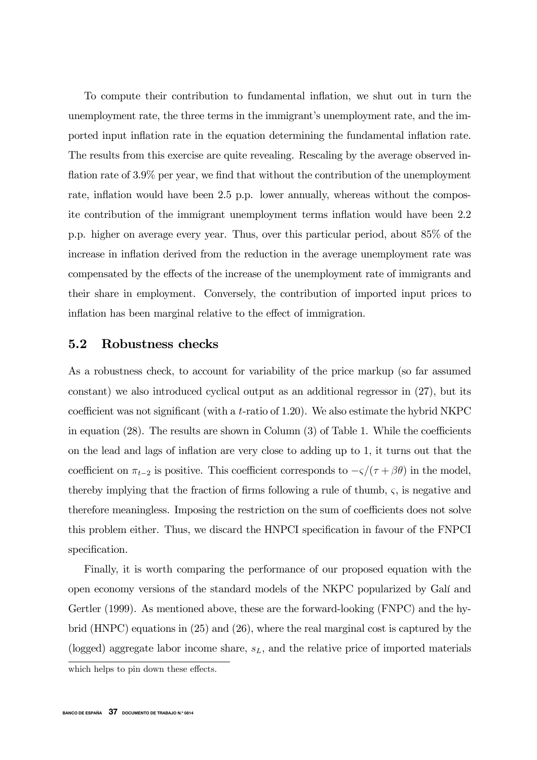To compute their contribution to fundamental inflation, we shut out in turn the unemployment rate, the three terms in the immigrant's unemployment rate, and the imported input inflation rate in the equation determining the fundamental inflation rate. The results from this exercise are quite revealing. Rescaling by the average observed inflation rate of 3.9% per year, we find that without the contribution of the unemployment rate, inflation would have been 2.5 p.p. lower annually, whereas without the composite contribution of the immigrant unemployment terms inflation would have been 2.2 p.p. higher on average every year. Thus, over this particular period, about 85% of the increase in inflation derived from the reduction in the average unemployment rate was compensated by the effects of the increase of the unemployment rate of immigrants and their share in employment. Conversely, the contribution of imported input prices to inflation has been marginal relative to the effect of immigration.

#### 5.2 Robustness checks

As a robustness check, to account for variability of the price markup (so far assumed constant) we also introduced cyclical output as an additional regressor in (27), but its coefficient was not significant (with a t-ratio of 1.20). We also estimate the hybrid NKPC in equation (28). The results are shown in Column (3) of Table 1. While the coefficients on the lead and lags of inflation are very close to adding up to 1, it turns out that the coefficient on  $\pi_{t-2}$  is positive. This coefficient corresponds to  $-\varsigma/(\tau+\beta\theta)$  in the model, thereby implying that the fraction of firms following a rule of thumb,  $\varsigma$ , is negative and therefore meaningless. Imposing the restriction on the sum of coefficients does not solve this problem either. Thus, we discard the HNPCI specification in favour of the FNPCI specification.

Finally, it is worth comparing the performance of our proposed equation with the open economy versions of the standard models of the NKPC popularized by Galí and Gertler (1999). As mentioned above, these are the forward-looking (FNPC) and the hybrid (HNPC) equations in (25) and (26), where the real marginal cost is captured by the (logged) aggregate labor income share,  $s<sub>L</sub>$ , and the relative price of imported materials

which helps to pin down these effects.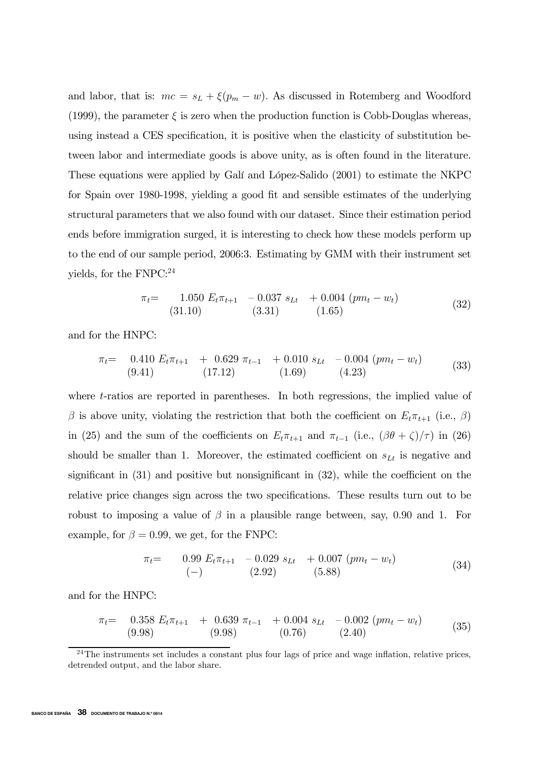and labor, that is:  $mc = s_L + \xi(p_m - w)$ . As discussed in Rotemberg and Woodford (1999), the parameter  $\xi$  is zero when the production function is Cobb-Douglas whereas, using instead a CES specification, it is positive when the elasticity of substitution between labor and intermediate goods is above unity, as is often found in the literature. These equations were applied by Galí and López-Salido (2001) to estimate the NKPC for Spain over 1980-1998, yielding a good fit and sensible estimates of the underlying structural parameters that we also found with our dataset. Since their estimation period ends before immigration surged, it is interesting to check how these models perform up to the end of our sample period, 2006:3. Estimating by GMM with their instrument set yields, for the FNPC:<sup>24</sup>

$$
\pi_t = \begin{array}{cc} 1.050 \ E_t \pi_{t+1} & -0.037 \ s_{Lt} & +0.004 \ (pm - w_t) \\ (31.10) & (3.31) & (1.65) \end{array} \tag{32}
$$

and for the HNPC:

$$
\pi_t = \begin{array}{cccc} 0.410 \ E_t \pi_{t+1} & + & 0.629 \ \pi_{t-1} & + & 0.010 \ s_{Lt} & - & 0.004 \ (pm - w_t) \\ (9.41) & (17.12) & (1.69) & (4.23) \end{array} \tag{33}
$$

where t-ratios are reported in parentheses. In both regressions, the implied value of β is above unity, violating the restriction that both the coefficient on  $E_t \pi_{t+1}$  (i.e., β) in (25) and the sum of the coefficients on  $E_t \pi_{t+1}$  and  $\pi_{t-1}$  (i.e.,  $(\beta \theta + \zeta)/\tau$ ) in (26) should be smaller than 1. Moreover, the estimated coefficient on  $s_{Lt}$  is negative and significant in (31) and positive but nonsignificant in (32), while the coefficient on the relative price changes sign across the two specifications. These results turn out to be robust to imposing a value of  $\beta$  in a plausible range between, say, 0.90 and 1. For example, for  $\beta = 0.99$ , we get, for the FNPC:

$$
\pi_t = \qquad \begin{array}{ccc} 0.99 \ E_t \pi_{t+1} & -0.029 \ s_{Lt} & +0.007 \ (pm - w_t) \\ (-) & (2.92) & (5.88) \end{array} \tag{34}
$$

and for the HNPC:

$$
\pi_t = \begin{array}{cccc} 0.358 \ E_t \pi_{t+1} & + & 0.639 \ \pi_{t-1} & + & 0.004 \ s_{Lt} & - & 0.002 \ (pm - w_t) \\ (9.98) & (9.98) & (0.76) & (2.40) \end{array} \tag{35}
$$

 $^{24}$ The instruments set includes a constant plus four lags of price and wage inflation, relative prices, detrended output, and the labor share.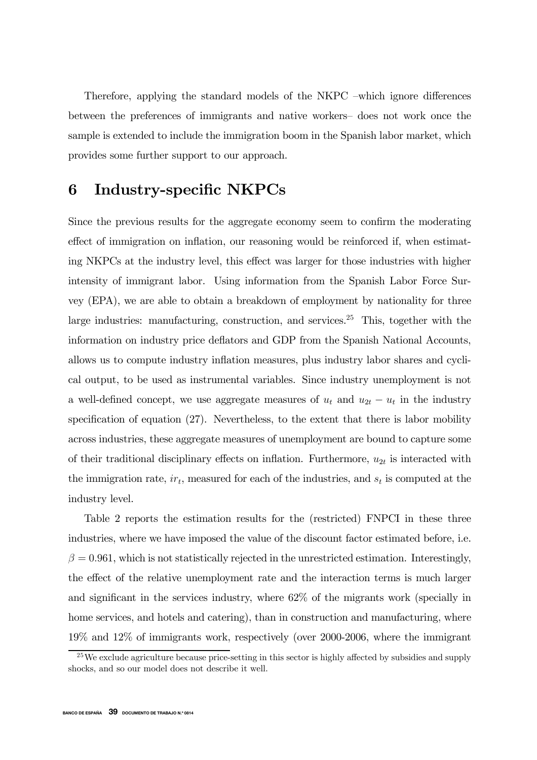Therefore, applying the standard models of the NKPC —which ignore differences between the preferences of immigrants and native workers— does not work once the sample is extended to include the immigration boom in the Spanish labor market, which provides some further support to our approach.

# 6 Industry-specific NKPCs

Since the previous results for the aggregate economy seem to confirm the moderating effect of immigration on inflation, our reasoning would be reinforced if, when estimating NKPCs at the industry level, this effect was larger for those industries with higher intensity of immigrant labor. Using information from the Spanish Labor Force Survey (EPA), we are able to obtain a breakdown of employment by nationality for three large industries: manufacturing, construction, and services.<sup>25</sup> This, together with the information on industry price deflators and GDP from the Spanish National Accounts, allows us to compute industry inflation measures, plus industry labor shares and cyclical output, to be used as instrumental variables. Since industry unemployment is not a well-defined concept, we use aggregate measures of  $u_t$  and  $u_{2t} - u_t$  in the industry specification of equation (27). Nevertheless, to the extent that there is labor mobility across industries, these aggregate measures of unemployment are bound to capture some of their traditional disciplinary effects on inflation. Furthermore,  $u_{2t}$  is interacted with the immigration rate,  $ir_t$ , measured for each of the industries, and  $s_t$  is computed at the industry level.

Table 2 reports the estimation results for the (restricted) FNPCI in these three industries, where we have imposed the value of the discount factor estimated before, i.e.  $\beta = 0.961$ , which is not statistically rejected in the unrestricted estimation. Interestingly, the effect of the relative unemployment rate and the interaction terms is much larger and significant in the services industry, where 62% of the migrants work (specially in home services, and hotels and catering), than in construction and manufacturing, where 19% and 12% of immigrants work, respectively (over 2000-2006, where the immigrant

 $^{25}$ We exclude agriculture because price-setting in this sector is highly affected by subsidies and supply shocks, and so our model does not describe it well.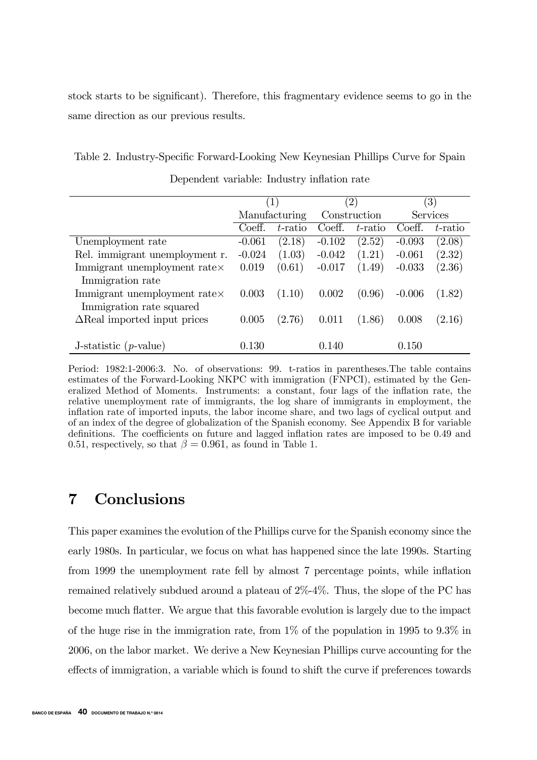stock starts to be significant). Therefore, this fragmentary evidence seems to go in the same direction as our previous results.

Table 2. Industry-Specific Forward-Looking New Keynesian Phillips Curve for Spain Dependent variable: Industry inflation rate

|                                     | (1)           |         | $^{\prime}2)$ |         | $\left( 3\right)$ |         |
|-------------------------------------|---------------|---------|---------------|---------|-------------------|---------|
|                                     | Manufacturing |         | Construction  |         | <b>Services</b>   |         |
|                                     | Coeff.        | t-ratio | Coeff.        | t-ratio | Coeff.            | t-ratio |
| Unemployment rate                   | $-0.061$      | (2.18)  | $-0.102$      | (2.52)  | $-0.093$          | (2.08)  |
| Rel. immigrant unemployment r.      | $-0.024$      | (1.03)  | $-0.042$      | (1.21)  | $-0.061$          | (2.32)  |
| Immigrant unemployment ratex        | 0.019         | (0.61)  | $-0.017$      | (1.49)  | $-0.033$          | (2.36)  |
| Immigration rate                    |               |         |               |         |                   |         |
| Immigrant unemployment ratex        | 0.003         | (1.10)  | 0.002         | (0.96)  | $-0.006$          | (1.82)  |
| Immigration rate squared            |               |         |               |         |                   |         |
| $\Delta$ Real imported input prices | 0.005         | (2.76)  | 0.011         | (1.86)  | 0.008             | (2.16)  |
|                                     |               |         |               |         |                   |         |
| J-statistic $(p$ -value)            | 130           |         | 0.140         |         | 0.150             |         |

Period: 1982:1-2006:3. No. of observations: 99. t-ratios in parentheses.The table contains estimates of the Forward-Looking NKPC with immigration (FNPCI), estimated by the Generalized Method of Moments. Instruments: a constant, four lags of the inflation rate, the relative unemployment rate of immigrants, the log share of immigrants in employment, the inflation rate of imported inputs, the labor income share, and two lags of cyclical output and of an index of the degree of globalization of the Spanish economy. See Appendix B for variable definitions. The coefficients on future and lagged inflation rates are imposed to be 0.49 and 0.51, respectively, so that  $\beta = 0.961$ , as found in Table 1.

# 7 Conclusions

This paper examines the evolution of the Phillips curve for the Spanish economy since the early 1980s. In particular, we focus on what has happened since the late 1990s. Starting from 1999 the unemployment rate fell by almost 7 percentage points, while inflation remained relatively subdued around a plateau of 2%-4%. Thus, the slope of the PC has become much flatter. We argue that this favorable evolution is largely due to the impact of the huge rise in the immigration rate, from  $1\%$  of the population in 1995 to 9.3% in 2006, on the labor market. We derive a New Keynesian Phillips curve accounting for the effects of immigration, a variable which is found to shift the curve if preferences towards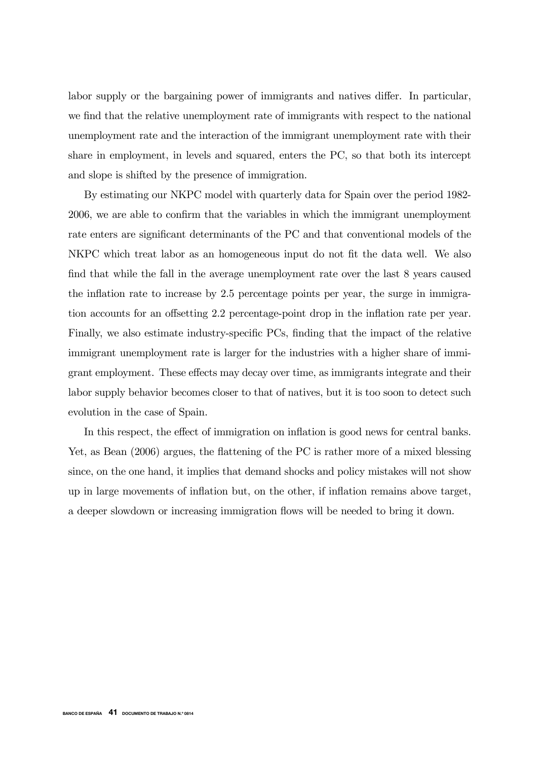labor supply or the bargaining power of immigrants and natives differ. In particular, we find that the relative unemployment rate of immigrants with respect to the national unemployment rate and the interaction of the immigrant unemployment rate with their share in employment, in levels and squared, enters the PC, so that both its intercept and slope is shifted by the presence of immigration.

By estimating our NKPC model with quarterly data for Spain over the period 1982- 2006, we are able to confirm that the variables in which the immigrant unemployment rate enters are significant determinants of the PC and that conventional models of the NKPC which treat labor as an homogeneous input do not fit the data well. We also find that while the fall in the average unemployment rate over the last 8 years caused the inflation rate to increase by 2.5 percentage points per year, the surge in immigration accounts for an offsetting 2.2 percentage-point drop in the inflation rate per year. Finally, we also estimate industry-specific PCs, finding that the impact of the relative immigrant unemployment rate is larger for the industries with a higher share of immigrant employment. These effects may decay over time, as immigrants integrate and their labor supply behavior becomes closer to that of natives, but it is too soon to detect such evolution in the case of Spain.

In this respect, the effect of immigration on inflation is good news for central banks. Yet, as Bean (2006) argues, the flattening of the PC is rather more of a mixed blessing since, on the one hand, it implies that demand shocks and policy mistakes will not show up in large movements of inflation but, on the other, if inflation remains above target, a deeper slowdown or increasing immigration flows will be needed to bring it down.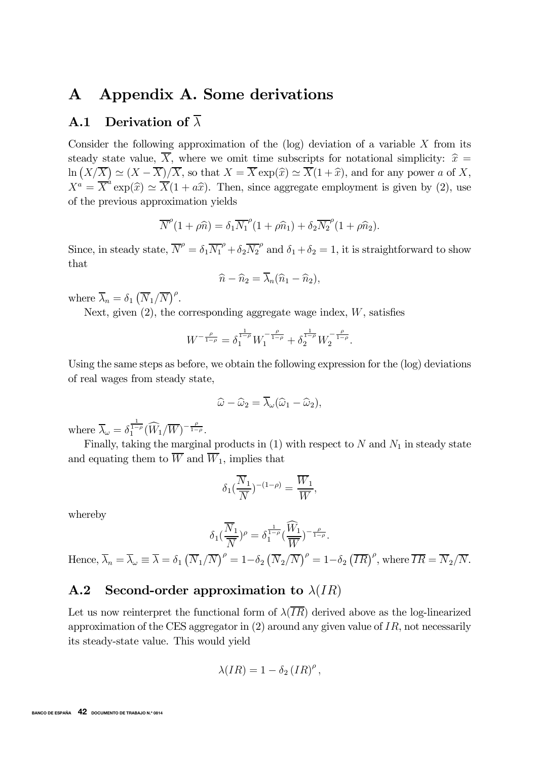# A Appendix A. Some derivations

# **A.1** Derivation of  $\overline{\lambda}$

Consider the following approximation of the  $(\log)$  deviation of a variable X from its steady state value,  $\overline{X}$ , where we omit time subscripts for notational simplicity:  $\hat{x} =$  $\ln\left(\frac{X}{X}\right) \simeq \frac{(X-\overline{X})}{\overline{X}}$ , so that  $X = \overline{X} \exp(\widehat{x}) \simeq \overline{X}(1+\widehat{x})$ , and for any power a of X,  $X^a = \overline{X}^a \exp(\widehat{x}) \simeq \overline{X}(1 + a\widehat{x})$ . Then, since aggregate employment is given by (2), use of the previous approximation yields

$$
\overline{N}^{\rho}(1+\rho\widehat{n})=\delta_1\overline{N_1}^{\rho}(1+\rho\widehat{n}_1)+\delta_2\overline{N_2}^{\rho}(1+\rho\widehat{n}_2).
$$

Since, in steady state,  $\overline{N}^{\rho} = \delta_1 \overline{N_1}^{\rho} + \delta_2 \overline{N_2}^{\rho}$  and  $\delta_1 + \delta_2 = 1$ , it is straightforward to show that

$$
\widehat{n} - \widehat{n}_2 = \overline{\lambda}_n (\widehat{n}_1 - \widehat{n}_2),
$$

where  $\overline{\lambda}_n = \delta_1 \left( \overline{N}_1 / \overline{N} \right)^{\rho}$ .

Next, given  $(2)$ , the corresponding aggregate wage index, W, satisfies

$$
W^{-\frac{\rho}{1-\rho}} = \delta_1^{\frac{1}{1-\rho}} W_1^{-\frac{\rho}{1-\rho}} + \delta_2^{\frac{1}{1-\rho}} W_2^{-\frac{\rho}{1-\rho}}.
$$

Using the same steps as before, we obtain the following expression for the (log) deviations of real wages from steady state,

$$
\widehat{\omega} - \widehat{\omega}_2 = \overline{\lambda}_{\omega} (\widehat{\omega}_1 - \widehat{\omega}_2),
$$

where  $\overline{\lambda}_{\omega} = \delta_1^{\frac{1}{1-\rho}} (\widehat{W}_1/\overline{W})^{-\frac{\rho}{1-\rho}}$ .

Finally, taking the marginal products in  $(1)$  with respect to N and  $N_1$  in steady state and equating them to  $\overline{W}$  and  $\overline{W}_1$ , implies that

$$
\delta_1(\frac{\overline{N}_1}{\overline{N}})^{-(1-\rho)} = \frac{\overline{W}_1}{\overline{W}},
$$

whereby

$$
\delta_1(\frac{\overline{N}_1}{\overline{N}})^{\rho} = \delta_1^{\frac{1}{1-\rho}}(\frac{\widehat{W}_1}{\overline{W}})^{-\frac{\rho}{1-\rho}}.
$$

Hence,  $\overline{\lambda}_n = \overline{\lambda}_{\omega} \equiv \overline{\lambda} = \delta_1 (\overline{N}_1/\overline{N})^{\rho} = 1 - \delta_2 (\overline{N}_2/\overline{N})^{\rho} = 1 - \delta_2 (\overline{IR})^{\rho}$ , where  $\overline{IR} = \overline{N}_2/\overline{N}$ .

# A.2 Second-order approximation to  $\lambda(IR)$

Let us now reinterpret the functional form of  $\lambda(\overline{IR})$  derived above as the log-linearized approximation of the CES aggregator in  $(2)$  around any given value of IR, not necessarily its steady-state value. This would yield

$$
\lambda(IR) = 1 - \delta_2 (IR)^{\rho},
$$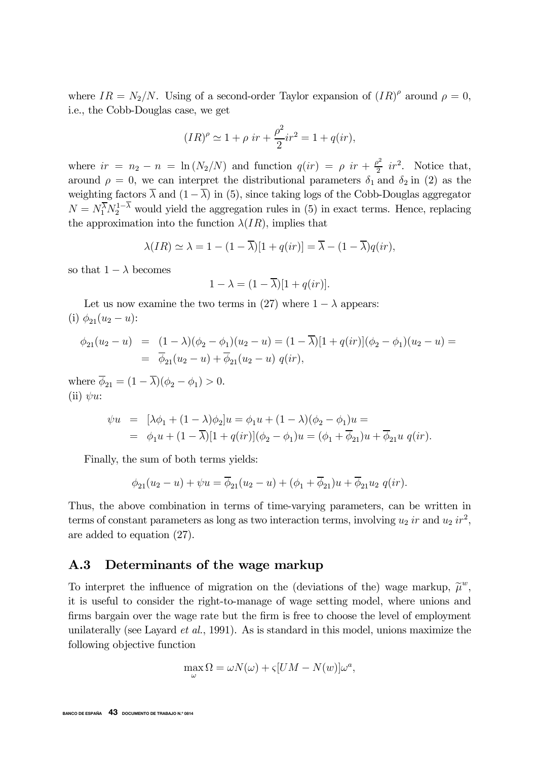where  $IR = N_2/N$ . Using of a second-order Taylor expansion of  $(IR)^{\rho}$  around  $\rho = 0$ , i.e., the Cobb-Douglas case, we get

$$
(IR)^{\rho} \simeq 1 + \rho \ ir + \frac{\rho^2}{2}ir^2 = 1 + q(ir),
$$

where  $ir = n_2 - n = \ln(N_2/N)$  and function  $q(ir) = \rho \ ir + \frac{\rho^2}{2} \ ir^2$ . Notice that, around  $\rho = 0$ , we can interpret the distributional parameters  $\delta_1$  and  $\delta_2$  in (2) as the weighting factors  $\overline{\lambda}$  and  $(1 - \overline{\lambda})$  in (5), since taking logs of the Cobb-Douglas aggregator  $N = N_1^{\overline{\lambda}} N_2^{1-\lambda}$  would yield the aggregation rules in (5) in exact terms. Hence, replacing the approximation into the function  $\lambda(IR)$ , implies that

$$
\lambda(IR) \simeq \lambda = 1 - (1 - \overline{\lambda})[1 + q(ir)] = \overline{\lambda} - (1 - \overline{\lambda})q(ir),
$$

so that  $1 - \lambda$  becomes

$$
1 - \lambda = (1 - \overline{\lambda})[1 + q(ir)].
$$

Let us now examine the two terms in (27) where  $1 - \lambda$  appears: (i)  $\phi_{21}(u_2 - u)$ :

$$
\begin{array}{rcl}\n\phi_{21}(u_2 - u) & = & (1 - \lambda)(\phi_2 - \phi_1)(u_2 - u) = (1 - \overline{\lambda})[1 + q(ir)](\phi_2 - \phi_1)(u_2 - u) = \\
& = & \overline{\phi}_{21}(u_2 - u) + \overline{\phi}_{21}(u_2 - u) \ q(ir),\n\end{array}
$$

where  $\overline{\phi}_{21} = (1 - \overline{\lambda})(\phi_2 - \phi_1) > 0.$ (ii)  $\psi u$ :

$$
\psi u = [\lambda \phi_1 + (1 - \lambda)\phi_2]u = \phi_1 u + (1 - \lambda)(\phi_2 - \phi_1)u =
$$
  
= 
$$
\phi_1 u + (1 - \overline{\lambda})[1 + q(ir)](\phi_2 - \phi_1)u = (\phi_1 + \overline{\phi}_{21})u + \overline{\phi}_{21}u \ q(ir).
$$

Finally, the sum of both terms yields:

$$
\phi_{21}(u_2 - u) + \psi u = \overline{\phi}_{21}(u_2 - u) + (\phi_1 + \overline{\phi}_{21})u + \overline{\phi}_{21}u_2 \ q(ir).
$$

Thus, the above combination in terms of time-varying parameters, can be written in terms of constant parameters as long as two interaction terms, involving  $u_2$  ir and  $u_2$  ir<sup>2</sup>, are added to equation (27).

### A.3 Determinants of the wage markup

To interpret the influence of migration on the (deviations of the) wage markup,  $\tilde{\mu}^w$ , it is useful to consider the right-to-manage of wage setting model, where unions and firms bargain over the wage rate but the firm is free to choose the level of employment unilaterally (see Layard *et al.*, 1991). As is standard in this model, unions maximize the following objective function

$$
\max_{\omega} \Omega = \omega N(\omega) + \varsigma [UM - N(w)] \omega^{a},
$$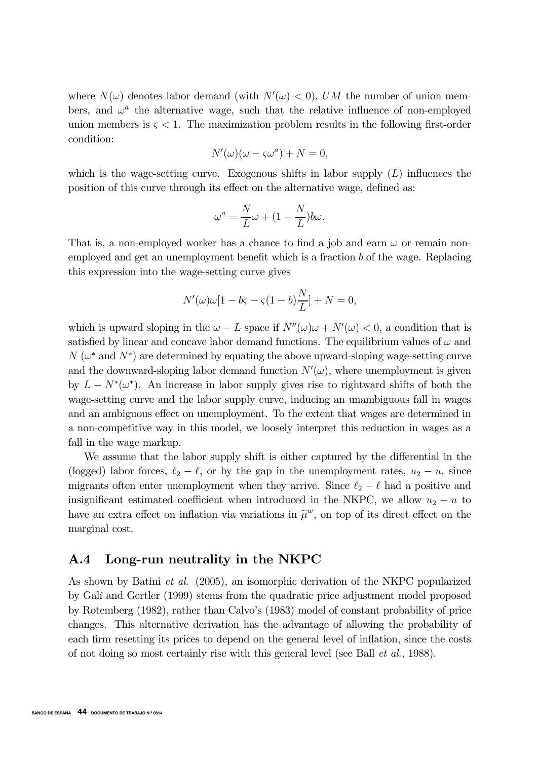where  $N(\omega)$  denotes labor demand (with  $N'(\omega) < 0$ ), UM the number of union members, and  $\omega^a$  the alternative wage, such that the relative influence of non-employed union members is  $\zeta \leq 1$ . The maximization problem results in the following first-order condition:

$$
N'(\omega)(\omega - \varsigma \omega^a) + N = 0,
$$

which is the wage-setting curve. Exogenous shifts in labor supply  $(L)$  influences the position of this curve through its effect on the alternative wage, defined as:

$$
\omega^a = \frac{N}{L}\omega + (1 - \frac{N}{L})b\omega.
$$

That is, a non-employed worker has a chance to find a job and earn  $\omega$  or remain nonemployed and get an unemployment benefit which is a fraction b of the wage. Replacing this expression into the wage-setting curve gives

$$
N'(\omega)\omega[1 - b\varsigma - \varsigma(1 - b)\frac{N}{L}] + N = 0,
$$

which is upward sloping in the  $\omega - L$  space if  $N''(\omega)\omega + N'(\omega) < 0$ , a condition that is satisfied by linear and concave labor demand functions. The equilibrium values of  $\omega$  and  $N(\omega^*)$  and  $N^*$ ) are determined by equating the above upward-sloping wage-setting curve and the downward-sloping labor demand function  $N'(\omega)$ , where unemployment is given by  $L - N^*(\omega^*)$ . An increase in labor supply gives rise to rightward shifts of both the wage-setting curve and the labor supply curve, inducing an unambiguous fall in wages and an ambiguous effect on unemployment. To the extent that wages are determined in a non-competitive way in this model, we loosely interpret this reduction in wages as a fall in the wage markup.

We assume that the labor supply shift is either captured by the differential in the (logged) labor forces,  $\ell_2 - \ell$ , or by the gap in the unemployment rates,  $u_2 - u$ , since migrants often enter unemployment when they arrive. Since  $\ell_2 - \ell$  had a positive and insignificant estimated coefficient when introduced in the NKPC, we allow  $u_2 - u$  to have an extra effect on inflation via variations in  $\tilde{\mu}^w$ , on top of its direct effect on the marginal cost.

### A.4 Long-run neutrality in the NKPC

As shown by Batini et al. (2005), an isomorphic derivation of the NKPC popularized by Galí and Gertler (1999) stems from the quadratic price adjustment model proposed by Rotemberg (1982), rather than Calvo's (1983) model of constant probability of price changes. This alternative derivation has the advantage of allowing the probability of each firm resetting its prices to depend on the general level of inflation, since the costs of not doing so most certainly rise with this general level (see Ball et al., 1988).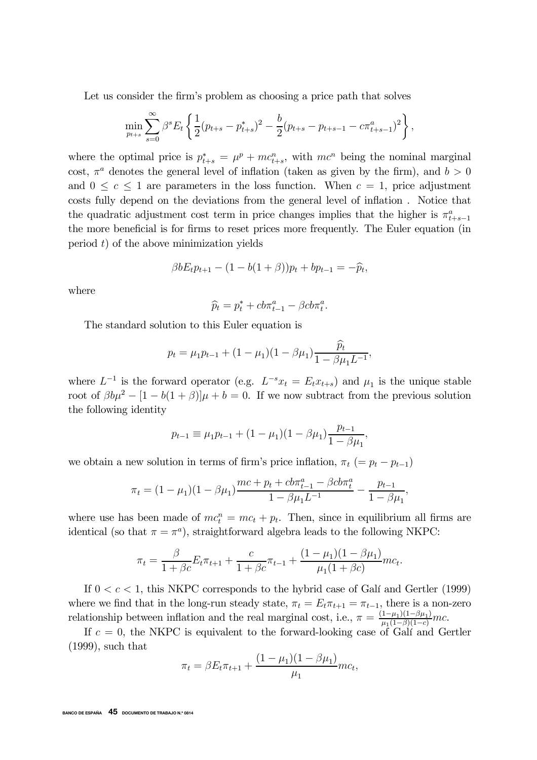Let us consider the firm's problem as choosing a price path that solves

$$
\min_{p_{t+s}} \sum_{s=0}^{\infty} \beta^s E_t \left\{ \frac{1}{2} (p_{t+s} - p_{t+s}^*)^2 - \frac{b}{2} (p_{t+s} - p_{t+s-1} - c \pi_{t+s-1}^a)^2 \right\},\,
$$

where the optimal price is  $p_{t+s}^* = \mu^p + mc_{t+s}^n$ , with  $mc^n$  being the nominal marginal cost,  $\pi^a$  denotes the general level of inflation (taken as given by the firm), and  $b > 0$ and  $0 \leq c \leq 1$  are parameters in the loss function. When  $c = 1$ , price adjustment costs fully depend on the deviations from the general level of inflation . Notice that the quadratic adjustment cost term in price changes implies that the higher is  $\pi^a_{t+s-1}$ the more beneficial is for firms to reset prices more frequently. The Euler equation (in period  $t$ ) of the above minimization yields

$$
\beta b E_t p_{t+1} - (1 - b(1 + \beta)) p_t + b p_{t-1} = -\widehat{p}_t,
$$

where

$$
\widehat{p}_t = p_t^* + cb\pi_{t-1}^a - \beta cb\pi_t^a.
$$

The standard solution to this Euler equation is

$$
p_t = \mu_1 p_{t-1} + (1 - \mu_1)(1 - \beta \mu_1) \frac{\widehat{p}_t}{1 - \beta \mu_1 L^{-1}},
$$

where  $L^{-1}$  is the forward operator (e.g.  $L^{-s}x_t = E_t x_{t+s}$ ) and  $\mu_1$  is the unique stable root of  $\beta b\mu^2 - [1 - b(1 + \beta)]\mu + b = 0$ . If we now subtract from the previous solution the following identity

$$
p_{t-1} \equiv \mu_1 p_{t-1} + (1 - \mu_1)(1 - \beta \mu_1) \frac{p_{t-1}}{1 - \beta \mu_1},
$$

we obtain a new solution in terms of firm's price inflation,  $\pi_t$  (=  $p_t$  –  $p_{t-1}$ )

$$
\pi_t = (1 - \mu_1)(1 - \beta \mu_1) \frac{mc + p_t + cb\pi_{t-1}^a - \beta cb\pi_t^a}{1 - \beta \mu_1 L^{-1}} - \frac{p_{t-1}}{1 - \beta \mu_1},
$$

where use has been made of  $mc_t^n = mc_t + p_t$ . Then, since in equilibrium all firms are identical (so that  $\pi = \pi^a$ ), straightforward algebra leads to the following NKPC:

$$
\pi_t = \frac{\beta}{1 + \beta c} E_t \pi_{t+1} + \frac{c}{1 + \beta c} \pi_{t-1} + \frac{(1 - \mu_1)(1 - \beta \mu_1)}{\mu_1 (1 + \beta c)} m c_t.
$$

If  $0 < c < 1$ , this NKPC corresponds to the hybrid case of Galí and Gertler (1999) where we find that in the long-run steady state,  $\pi_t = E_t \pi_{t+1} = \pi_{t-1}$ , there is a non-zero relationship between inflation and the real marginal cost, i.e.,  $\pi = \frac{(1-\mu_1)(1-\beta\mu_1)}{\mu_1(1-\beta)(1-c)}mc$ .

If  $c = 0$ , the NKPC is equivalent to the forward-looking case of Galí and Gertler (1999), such that

$$
\pi_t = \beta E_t \pi_{t+1} + \frac{(1 - \mu_1)(1 - \beta \mu_1)}{\mu_1} m c_t,
$$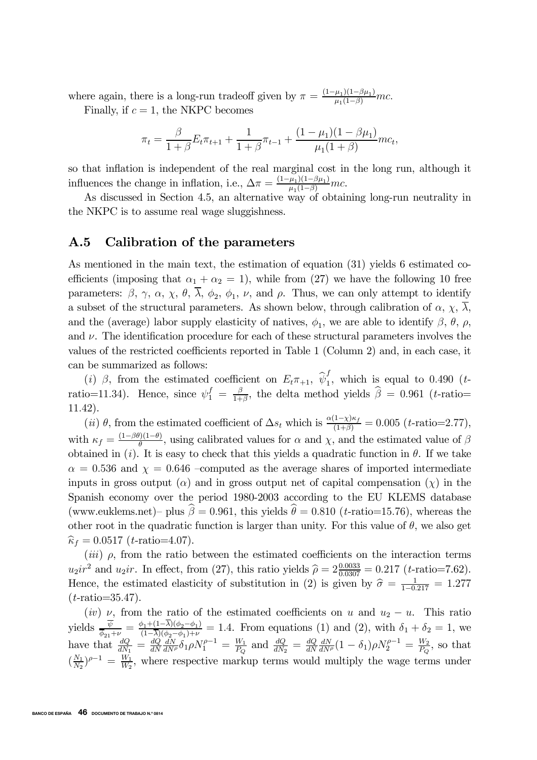where again, there is a long-run tradeoff given by  $\pi = \frac{(1-\mu_1)(1-\beta\mu_1)}{\mu_1(1-\beta)}mc$ .

Finally, if  $c = 1$ , the NKPC becomes

$$
\pi_t = \frac{\beta}{1+\beta} E_t \pi_{t+1} + \frac{1}{1+\beta} \pi_{t-1} + \frac{(1-\mu_1)(1-\beta\mu_1)}{\mu_1(1+\beta)} m c_t,
$$

so that inflation is independent of the real marginal cost in the long run, although it influences the change in inflation, i.e.,  $\Delta \pi = \frac{(1-\mu_1)(1-\beta\mu_1)}{\mu_1(1-\beta)}mc$ .

As discussed in Section 4.5, an alternative way of obtaining long-run neutrality in the NKPC is to assume real wage sluggishness.

## A.5 Calibration of the parameters

As mentioned in the main text, the estimation of equation (31) yields 6 estimated coefficients (imposing that  $\alpha_1 + \alpha_2 = 1$ ), while from (27) we have the following 10 free parameters:  $\beta$ ,  $\gamma$ ,  $\alpha$ ,  $\chi$ ,  $\theta$ ,  $\overline{\lambda}$ ,  $\phi_2$ ,  $\phi_1$ ,  $\nu$ , and  $\rho$ . Thus, we can only attempt to identify a subset of the structural parameters. As shown below, through calibration of  $\alpha$ ,  $\chi$ ,  $\overline{\lambda}$ , and the (average) labor supply elasticity of natives,  $\phi_1$ , we are able to identify  $\beta$ ,  $\theta$ ,  $\rho$ , and  $\nu$ . The identification procedure for each of these structural parameters involves the values of the restricted coefficients reported in Table 1 (Column 2) and, in each case, it can be summarized as follows:

(i) β, from the estimated coefficient on  $E_t \pi_{+1}$ ,  $\hat{\psi}_1^f$ , which is equal to 0.490 (tratio=11.34). Hence, since  $\psi_1^f = \frac{\beta}{1+\beta}$ , the delta method yields  $\hat{\beta} = 0.961$  (*t*-ratio= 11.42).

(ii)  $\theta$ , from the estimated coefficient of  $\Delta s_t$  which is  $\frac{\alpha(1-\chi)\kappa_f}{(1+\beta)} = 0.005$  (t-ratio=2.77), with  $\kappa_f = \frac{(1-\beta\theta)(1-\theta)}{\theta}$ , using calibrated values for  $\alpha$  and  $\chi$ , and the estimated value of  $\beta$ obtained in (i). It is easy to check that this yields a quadratic function in  $\theta$ . If we take  $\alpha = 0.536$  and  $\chi = 0.646$  -computed as the average shares of imported intermediate inputs in gross output  $(\alpha)$  and in gross output net of capital compensation  $(\chi)$  in the Spanish economy over the period 1980-2003 according to the EU KLEMS database (www.euklems.net)– plus  $\beta = 0.961$ , this yields  $\theta = 0.810$  (*t*-ratio=15.76), whereas the other root in the quadratic function is larger than unity. For this value of  $\theta$ , we also get  $\hat{\kappa}_f = 0.0517$  (*t*-ratio=4.07).

(iii)  $\rho$ , from the ratio between the estimated coefficients on the interaction terms  $u_2ir^2$  and  $u_2ir$ . In effect, from (27), this ratio yields  $\hat{\rho} = 2 \frac{0.0033}{0.0307} = 0.217$  (*t*-ratio=7.62). Hence, the estimated elasticity of substitution in (2) is given by  $\hat{\sigma} = \frac{1}{1-0.217} = 1.277$  $(t\text{-ratio}=35.47)$ .

(iv)  $\nu$ , from the ratio of the estimated coefficients on u and  $u_2 - u$ . This ratio yields  $\frac{\overline{\psi}}{\overline{\phi}_{21}+\nu} = \frac{\phi_1+(1-\lambda)(\phi_2-\phi_1)}{(1-\overline{\lambda})(\phi_2-\phi_1)+\nu} = 1.4$ . From equations (1) and (2), with  $\delta_1 + \delta_2 = 1$ , we have that  $\frac{dQ}{dN_1} = \frac{dQ}{dN}$  $\frac{dN}{dN\rho}\delta_1\rho N_1^{\rho-1} = \frac{W_1}{P_Q}$  and  $\frac{dQ}{dN_2} = \frac{dQ}{dN}$  $\frac{dN}{dN^{\rho}}(1-\delta_{1})\rho N_{2}^{\rho-1} = \frac{W_{2}}{P_{Q}},$  so that  $(\frac{N_1}{N_2})^{\rho-1} = \frac{W_1}{W_2}$ , where respective markup terms would multiply the wage terms under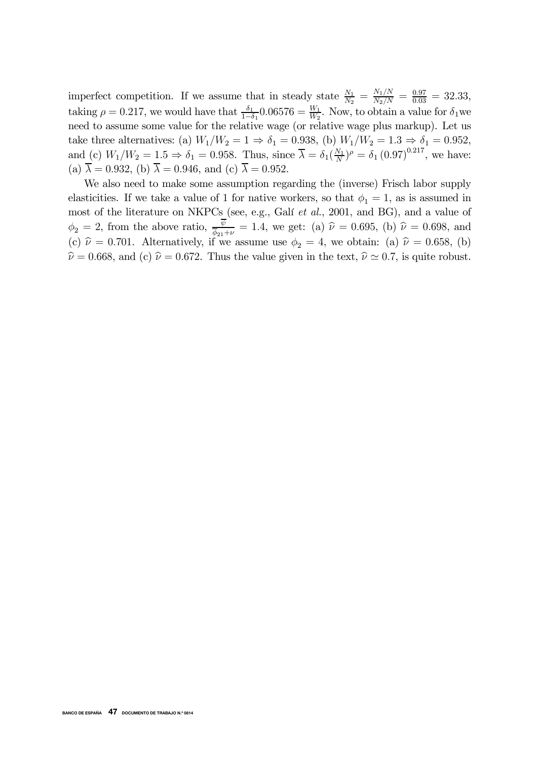imperfect competition. If we assume that in steady state  $\frac{N_1}{N_2} = \frac{N_1/N}{N_2/N} = \frac{0.97}{0.03} = 32.33$ , taking  $\rho = 0.217$ , we would have that  $\frac{\delta_1}{1-\delta_1} 0.06576 = \frac{W_1}{W_2}$ . Now, to obtain a value for  $\delta_1$  we need to assume some value for the relative wage (or relative wage plus markup). Let us take three alternatives: (a)  $W_1/W_2 = 1 \Rightarrow \delta_1 = 0.938$ , (b)  $W_1/W_2 = 1.3 \Rightarrow \delta_1 = 0.952$ , and (c)  $W_1/W_2 = 1.5 \Rightarrow \delta_1 = 0.958$ . Thus, since  $\overline{\lambda} = \delta_1(\frac{N_1}{N})^{\rho} = \delta_1(0.97)^{0.217}$ , we have: (a)  $\overline{\lambda} = 0.932$ , (b)  $\overline{\lambda} = 0.946$ , and (c)  $\overline{\lambda} = 0.952$ .

We also need to make some assumption regarding the (inverse) Frisch labor supply elasticities. If we take a value of 1 for native workers, so that  $\phi_1 = 1$ , as is assumed in most of the literature on NKPCs (see, e.g., Galí et al., 2001, and BG), and a value of  $\phi_2 = 2$ , from the above ratio,  $\frac{\psi}{\phi_{21}+\nu} = 1.4$ , we get: (a)  $\hat{\nu} = 0.695$ , (b)  $\hat{\nu} = 0.698$ , and (c)  $\hat{\nu} = 0.701$ . Alternatively, if we assume use  $\phi_2 = 4$ , we obtain: (a)  $\hat{\nu} = 0.658$ , (b)  $\hat{\nu} = 0.668$ , and (c)  $\hat{\nu} = 0.672$ . Thus the value given in the text,  $\hat{\nu} \approx 0.7$ , is quite robust.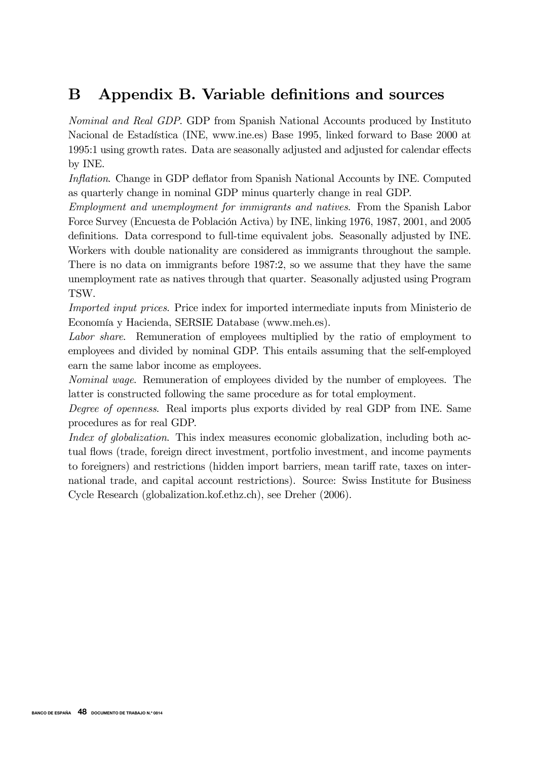# B Appendix B. Variable definitions and sources

Nominal and Real GDP. GDP from Spanish National Accounts produced by Instituto Nacional de Estadística (INE, www.ine.es) Base 1995, linked forward to Base 2000 at 1995:1 using growth rates. Data are seasonally adjusted and adjusted for calendar effects by INE.

Inflation. Change in GDP deflator from Spanish National Accounts by INE. Computed as quarterly change in nominal GDP minus quarterly change in real GDP.

Employment and unemployment for immigrants and natives. From the Spanish Labor Force Survey (Encuesta de Población Activa) by INE, linking 1976, 1987, 2001, and 2005 definitions. Data correspond to full-time equivalent jobs. Seasonally adjusted by INE. Workers with double nationality are considered as immigrants throughout the sample. There is no data on immigrants before 1987:2, so we assume that they have the same unemployment rate as natives through that quarter. Seasonally adjusted using Program TSW.

Imported input prices. Price index for imported intermediate inputs from Ministerio de Economía y Hacienda, SERSIE Database (www.meh.es).

Labor share. Remuneration of employees multiplied by the ratio of employment to employees and divided by nominal GDP. This entails assuming that the self-employed earn the same labor income as employees.

Nominal wage. Remuneration of employees divided by the number of employees. The latter is constructed following the same procedure as for total employment.

Degree of openness. Real imports plus exports divided by real GDP from INE. Same procedures as for real GDP.

Index of globalization. This index measures economic globalization, including both actual flows (trade, foreign direct investment, portfolio investment, and income payments to foreigners) and restrictions (hidden import barriers, mean tariff rate, taxes on international trade, and capital account restrictions). Source: Swiss Institute for Business Cycle Research (globalization.kof.ethz.ch), see Dreher (2006).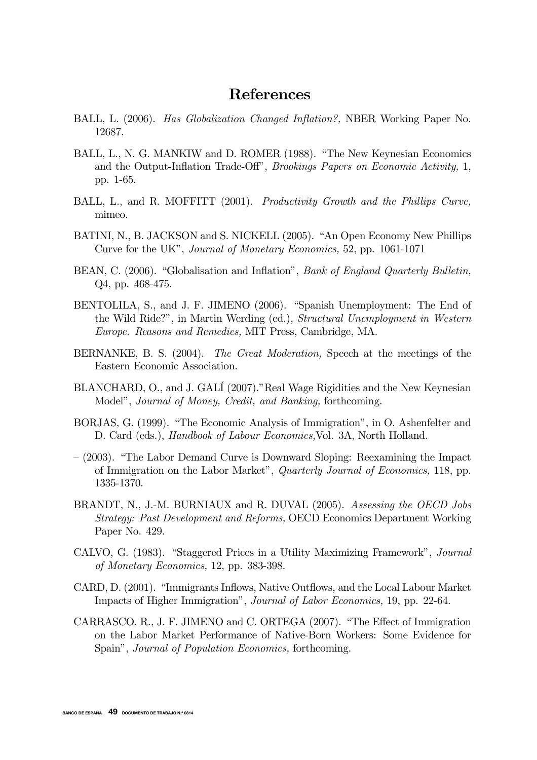# References

- BALL, L. (2006). Has Globalization Changed Inflation?, NBER Working Paper No. 12687.
- BALL, L., N. G. MANKIW and D. ROMER (1988). "The New Keynesian Economics and the Output-Inflation Trade-Off", Brookings Papers on Economic Activity, 1, pp. 1-65.
- BALL, L., and R. MOFFITT (2001). Productivity Growth and the Phillips Curve, mimeo.
- BATINI, N., B. JACKSON and S. NICKELL (2005). "An Open Economy New Phillips Curve for the UK", Journal of Monetary Economics, 52, pp. 1061-1071
- BEAN, C. (2006). "Globalisation and Inflation", *Bank of England Quarterly Bulletin*, Q4, pp. 468-475.
- BENTOLILA, S., and J. F. JIMENO (2006). "Spanish Unemployment: The End of the Wild Ride?", in Martin Werding (ed.), Structural Unemployment in Western Europe. Reasons and Remedies, MIT Press, Cambridge, MA.
- BERNANKE, B. S. (2004). The Great Moderation, Speech at the meetings of the Eastern Economic Association.
- BLANCHARD, O., and J. GALÍ (2007)."Real Wage Rigidities and the New Keynesian Model", Journal of Money, Credit, and Banking, forthcoming.
- BORJAS, G. (1999). "The Economic Analysis of Immigration", in O. Ashenfelter and D. Card (eds.), Handbook of Labour Economics,Vol. 3A, North Holland.
- (2003). "The Labor Demand Curve is Downward Sloping: Reexamining the Impact of Immigration on the Labor Market", Quarterly Journal of Economics, 118, pp. 1335-1370.
- BRANDT, N., J.-M. BURNIAUX and R. DUVAL (2005). Assessing the OECD Jobs Strategy: Past Development and Reforms, OECD Economics Department Working Paper No. 429.
- CALVO, G. (1983). "Staggered Prices in a Utility Maximizing Framework", Journal of Monetary Economics, 12, pp. 383-398.
- CARD, D. (2001). "Immigrants Inflows, Native Outflows, and the Local Labour Market Impacts of Higher Immigration", Journal of Labor Economics, 19, pp. 22-64.
- CARRASCO, R., J. F. JIMENO and C. ORTEGA (2007). "The Effect of Immigration on the Labor Market Performance of Native-Born Workers: Some Evidence for Spain", Journal of Population Economics, forthcoming.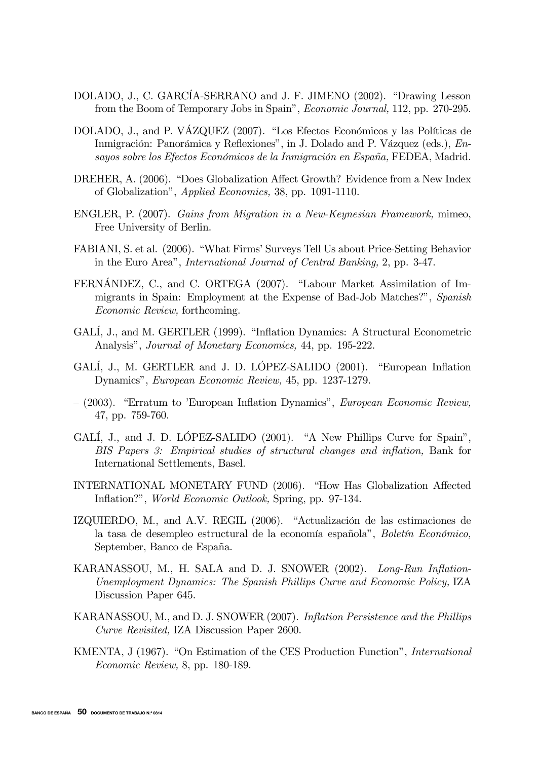- DOLADO, J., C. GARCÍA-SERRANO and J. F. JIMENO (2002). "Drawing Lesson from the Boom of Temporary Jobs in Spain", Economic Journal, 112, pp. 270-295.
- DOLADO, J., and P. VÁZQUEZ (2007). "Los Efectos Económicos y las Políticas de Inmigración: Panorámica y Reflexiones", in J. Dolado and P. Vázquez (eds.), Ensayos sobre los Efectos Económicos de la Inmigración en España, FEDEA, Madrid.
- DREHER, A. (2006). "Does Globalization Affect Growth? Evidence from a New Index of Globalization", Applied Economics, 38, pp. 1091-1110.
- ENGLER, P. (2007). Gains from Migration in a New-Keynesian Framework, mimeo, Free University of Berlin.
- FABIANI, S. et al. (2006). "What Firms' Surveys Tell Us about Price-Setting Behavior in the Euro Area", International Journal of Central Banking, 2, pp. 3-47.
- FERNÁNDEZ, C., and C. ORTEGA (2007). "Labour Market Assimilation of Immigrants in Spain: Employment at the Expense of Bad-Job Matches?", Spanish Economic Review, forthcoming.
- GALÍ, J., and M. GERTLER (1999). "Inflation Dynamics: A Structural Econometric Analysis", Journal of Monetary Economics, 44, pp. 195-222.
- GALÍ, J., M. GERTLER and J. D. LÓPEZ-SALIDO (2001). "European Inflation Dynamics", European Economic Review, 45, pp. 1237-1279.
- (2003). "Erratum to 'European Inflation Dynamics", European Economic Review, 47, pp. 759-760.
- GALI, J., and J. D. LOPEZ-SALIDO (2001). "A New Phillips Curve for Spain", BIS Papers 3: Empirical studies of structural changes and inflation, Bank for International Settlements, Basel.
- INTERNATIONAL MONETARY FUND (2006). "How Has Globalization Affected Inflation?", World Economic Outlook, Spring, pp. 97-134.
- IZQUIERDO, M., and A.V. REGIL (2006). "Actualización de las estimaciones de la tasa de desempleo estructural de la economía española", Boletín Económico, September, Banco de España.
- KARANASSOU, M., H. SALA and D. J. SNOWER (2002). Long-Run Inflation-Unemployment Dynamics: The Spanish Phillips Curve and Economic Policy, IZA Discussion Paper 645.
- KARANASSOU, M., and D. J. SNOWER (2007). Inflation Persistence and the Phillips Curve Revisited, IZA Discussion Paper 2600.
- KMENTA, J (1967). "On Estimation of the CES Production Function", International Economic Review, 8, pp. 180-189.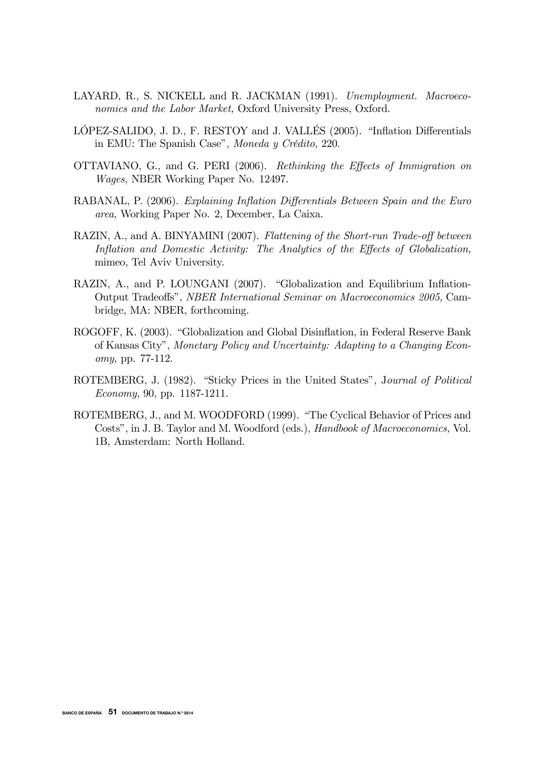- LAYARD, R., S. NICKELL and R. JACKMAN (1991). Unemployment. Macroeconomics and the Labor Market, Oxford University Press, Oxford.
- LÓPEZ-SALIDO, J. D., F. RESTOY and J. VALLÉS (2005). "Inflation Differentials in EMU: The Spanish Case", Moneda y Crédito, 220.
- OTTAVIANO, G., and G. PERI (2006). Rethinking the Effects of Immigration on Wages, NBER Working Paper No. 12497.
- RABANAL, P. (2006). Explaining Inflation Differentials Between Spain and the Euro area, Working Paper No. 2, December, La Caixa.
- RAZIN, A., and A. BINYAMINI (2007). Flattening of the Short-run Trade-off between Inflation and Domestic Activity: The Analytics of the Effects of Globalization, mimeo, Tel Aviv University.
- RAZIN, A., and P. LOUNGANI (2007). "Globalization and Equilibrium Inflation-Output Tradeoffs", NBER International Seminar on Macroeconomics 2005, Cambridge, MA: NBER, forthcoming.
- ROGOFF, K. (2003). "Globalization and Global Disinflation, in Federal Reserve Bank of Kansas City", Monetary Policy and Uncertainty: Adapting to a Changing Economy, pp. 77-112.
- ROTEMBERG, J. (1982). "Sticky Prices in the United States", Journal of Political Economy, 90, pp. 1187-1211.
- ROTEMBERG, J., and M. WOODFORD (1999). "The Cyclical Behavior of Prices and Costs", in J. B. Taylor and M. Woodford (eds.), Handbook of Macroeconomics, Vol. 1B, Amsterdam: North Holland.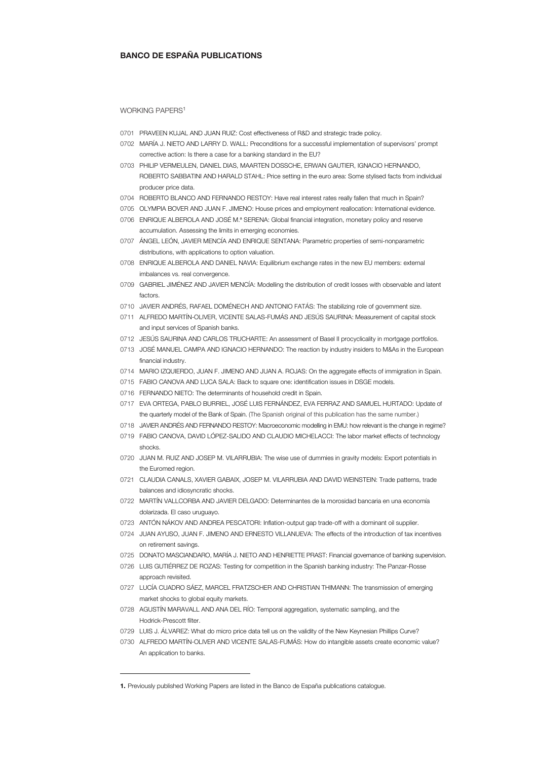#### BANCO DE ESPAÑA PUBLICATIONS

#### WORKING PAPERS<sup>1</sup>

- 0701 PRAVEEN KUJAL AND JUAN RUIZ: Cost effectiveness of R&D and strategic trade policy.
- 0702 MARÍA J. NIETO AND LARRY D. WALL: Preconditions for a successful implementation of supervisors' prompt corrective action: Is there a case for a banking standard in the EU?
- 0703 PHILIP VERMEULEN, DANIEL DIAS, MAARTEN DOSSCHE, ERWAN GAUTIER, IGNACIO HERNANDO, ROBERTO SABBATINI AND HARALD STAHL: Price setting in the euro area: Some stylised facts from individual producer price data.
- 0704 ROBERTO BLANCO AND FERNANDO RESTOY: Have real interest rates really fallen that much in Spain?
- 0705 OLYMPIA BOVER AND JUAN F. JIMENO: House prices and employment reallocation: International evidence.
- 0706 ENRIQUE ALBEROLA AND JOSÉ M.ª SERENA: Global financial integration, monetary policy and reserve accumulation. Assessing the limits in emerging economies.
- 0707 ÁNGEL LEÓN, JAVIER MENCÍA AND ENRIQUE SENTANA: Parametric properties of semi-nonparametric distributions, with applications to option valuation.
- 0708 ENRIQUE ALBEROLA AND DANIEL NAVIA: Equilibrium exchange rates in the new EU members: external imbalances vs. real convergence.
- 0709 GABRIEL JIMÉNEZ AND JAVIER MENCÍA: Modelling the distribution of credit losses with observable and latent factors.
- 0710 JAVIER ANDRÉS, RAFAEL DOMÉNECH AND ANTONIO FATÁS: The stabilizing role of government size.
- 0711 ALFREDO MARTÍN-OLIVER, VICENTE SALAS-FUMÁS AND JESÚS SAURINA: Measurement of capital stock and input services of Spanish banks.
- 0712 JESÚS SAURINA AND CARLOS TRUCHARTE: An assessment of Basel II procyclicality in mortgage portfolios.
- 0713 JOSÉ MANUEL CAMPA AND IGNACIO HERNANDO: The reaction by industry insiders to M&As in the European financial industry.
- 0714 MARIO IZQUIERDO, JUAN F. JIMENO AND JUAN A. ROJAS: On the aggregate effects of immigration in Spain.
- 0715 FABIO CANOVA AND LUCA SALA: Back to square one: identification issues in DSGE models.
- 0716 FERNANDO NIETO: The determinants of household credit in Spain.
- 0717 EVA ORTEGA, PABLO BURRIEL, JOSÉ LUIS FERNÁNDEZ, EVA FERRAZ AND SAMUEL HURTADO: Update of the quarterly model of the Bank of Spain. (The Spanish original of this publication has the same number.)
- 0718 JAVIER ANDRÉS AND FERNANDO RESTOY: Macroeconomic modelling in EMU: how relevant is the change in regime?
- 0719 FABIO CANOVA, DAVID LÓPEZ-SALIDO AND CLAUDIO MICHELACCI: The labor market effects of technology shocks.
- 0720 JUAN M. RUIZ AND JOSEP M. VILARRUBIA: The wise use of dummies in gravity models: Export potentials in the Euromed region.
- 0721 CLAUDIA CANALS, XAVIER GABAIX, JOSEP M. VILARRUBIA AND DAVID WEINSTEIN: Trade patterns, trade balances and idiosyncratic shocks.
- 0722 MARTÍN VALLCORBA AND JAVIER DELGADO: Determinantes de la morosidad bancaria en una economía dolarizada. El caso uruguayo.
- 0723 ANTÓN NÁKOV AND ANDREA PESCATORI: Inflation-output gap trade-off with a dominant oil supplier.
- 0724 JUAN AYUSO, JUAN F. JIMENO AND ERNESTO VILLANUEVA: The effects of the introduction of tax incentives on retirement savings.
- 0725 DONATO MASCIANDARO, MARÍA J. NIETO AND HENRIETTE PRAST: Financial governance of banking supervision.
- 0726 LUIS GUTIÉRREZ DE ROZAS: Testing for competition in the Spanish banking industry: The Panzar-Rosse approach revisited.
- 0727 LUCÍA CUADRO SÁEZ, MARCEL FRATZSCHER AND CHRISTIAN THIMANN: The transmission of emerging market shocks to global equity markets.
- 0728 AGUSTÍN MARAVALL AND ANA DEL RÍO: Temporal aggregation, systematic sampling, and the Hodrick-Prescott filter.
- 0729 LUIS J. ÁLVAREZ: What do micro price data tell us on the validity of the New Keynesian Phillips Curve?
- 0730 ALFREDO MARTÍN-OLIVER AND VICENTE SALAS-FUMÁS: How do intangible assets create economic value? An application to banks.

j

<sup>1.</sup> Previously published Working Papers are listed in the Banco de España publications catalogue.